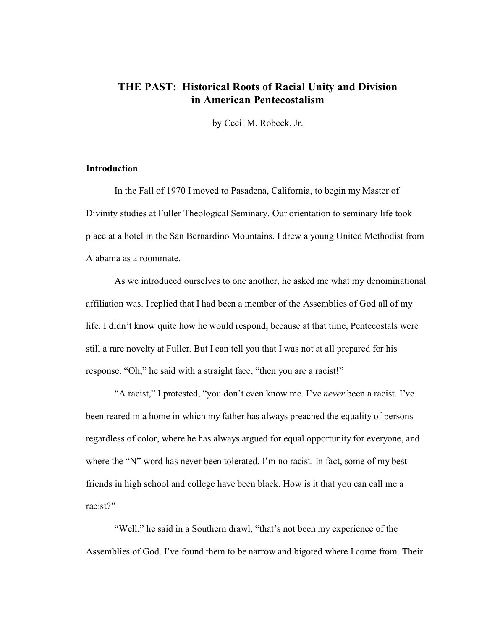# **THE PAST: Historical Roots of Racial Unity and Division in American Pentecostalism**

by Cecil M. Robeck, Jr.

## **Introduction**

In the Fall of 1970 I moved to Pasadena, California, to begin my Master of Divinity studies at Fuller Theological Seminary. Our orientation to seminary life took place at a hotel in the San Bernardino Mountains. I drew a young United Methodist from Alabama as a roommate.

As we introduced ourselves to one another, he asked me what my denominational affiliation was. I replied that I had been a member of the Assemblies of God all of my life. I didn't know quite how he would respond, because at that time, Pentecostals were still a rare novelty at Fuller. But I can tell you that I was not at all prepared for his response. "Oh," he said with a straight face, "then you are a racist!"

"A racist," I protested, "you don't even know me. I've *never* been a racist. I've been reared in a home in which my father has always preached the equality of persons regardless of color, where he has always argued for equal opportunity for everyone, and where the "N" word has never been tolerated. I'm no racist. In fact, some of my best friends in high school and college have been black. How is it that you can call me a racist?"

"Well," he said in a Southern drawl, "that's not been my experience of the Assemblies of God. I've found them to be narrow and bigoted where I come from. Their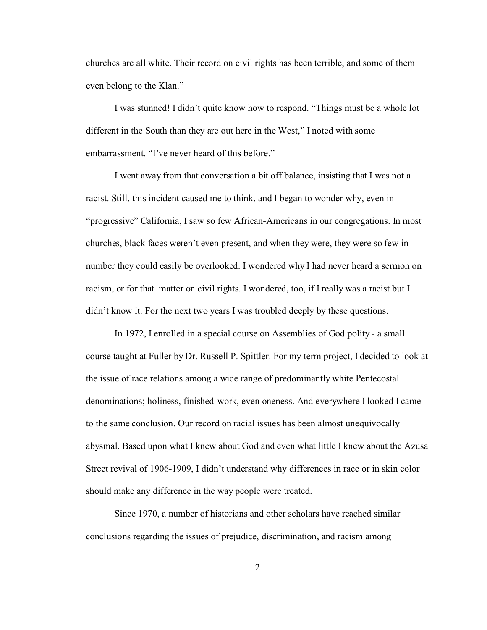churches are all white. Their record on civil rights has been terrible, and some of them even belong to the Klan."

I was stunned! I didn't quite know how to respond. "Things must be a whole lot different in the South than they are out here in the West," I noted with some embarrassment. "I've never heard of this before."

I went away from that conversation a bit off balance, insisting that I was not a racist. Still, this incident caused me to think, and I began to wonder why, even in "progressive" California, I saw so few African-Americans in our congregations. In most churches, black faces weren't even present, and when they were, they were so few in number they could easily be overlooked. I wondered why I had never heard a sermon on racism, or for that matter on civil rights. I wondered, too, if I really was a racist but I didn't know it. For the next two years I was troubled deeply by these questions.

In 1972, I enrolled in a special course on Assemblies of God polity - a small course taught at Fuller by Dr. Russell P. Spittler. For my term project, I decided to look at the issue of race relations among a wide range of predominantly white Pentecostal denominations; holiness, finished-work, even oneness. And everywhere I looked I came to the same conclusion. Our record on racial issues has been almost unequivocally abysmal. Based upon what I knew about God and even what little I knew about the Azusa Street revival of 1906-1909, I didn't understand why differences in race or in skin color should make any difference in the way people were treated.

Since 1970, a number of historians and other scholars have reached similar conclusions regarding the issues of prejudice, discrimination, and racism among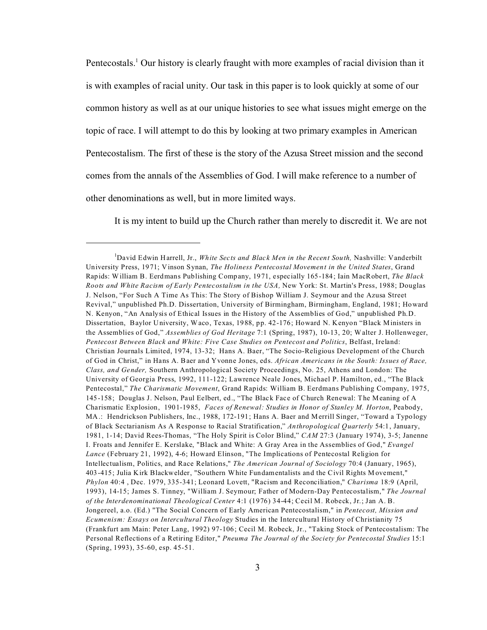Pentecostals.<sup>1</sup> Our history is clearly fraught with more examples of racial division than it is with examples of racial unity. Our task in this paper is to look quickly at some of our common history as well as at our unique histories to see what issues might emerge on the topic of race. I will attempt to do this by looking at two primary examples in American Pentecostalism. The first of these is the story of the Azusa Street mission and the second comes from the annals of the Assemblies of God. I will make reference to a number of other denominations as well, but in more limited ways.

It is my intent to build up the Church rather than merely to discredit it. We are not

<sup>1</sup>David Edwin Harrell, Jr., *White Sects and Black Men in the Recent South,* Nashville: Vanderbilt University Press, 1971; Vinson Synan, *The Holiness Pentecostal Movement in the United States*, Grand Rapids: William B. Eerdmans Publishing Company, 1971, especially 165-184; Iain MacRobert, *The Black Roots and White Racism of Early Pentecostalism in the USA,* New York: St. Martin's Press, 1988; Douglas J. Nelson, "For Such A Time As This: The Story of Bishop William J. Seymour and the Azusa Street Revival," unpublished Ph.D. Dissertation, University of Birmingham, Birmingham, England, 1981; Howard N. Kenyon, "An Analysis of Ethical Issues in the History of the Assemblies of God," unpublished Ph.D. Dissertation, Baylor University, Waco, Texas, 1988, pp. 42-176; Howard N. Kenyon "Black Ministers in the Assemblies of God," *Assemblies of God Heritage* 7:1 (Spring, 1987), 10-13, 20; Walter J. Hollenweger, *Pentecost Between Black and White: Five Case Studies on Pentecost and Politics*, Belfast, Ireland: Christian Journals Limited, 1974, 13-32; Hans A. Baer, "The Socio-Religious Development of the Church of God in Christ," in Hans A. Baer and Yvonne Jones, eds. *African Americans in the South: Issues of Race, Class, and Gender,* Southern Anthropological Society Proceedings, No. 25, Athens and London: The University of Georgia Press, 1992, 111-122; Lawrence Neale Jones, Michael P. Hamilton, ed., "The Black Pentecostal," *The Charismatic Movement*, Grand Rapids: William B. Eerdmans Publishing Company, 1975, 145-158; Douglas J. Nelson, Paul Eelbert, ed., "The Black Face of Church Renewal: The Meaning of A Charismatic Explosion, 1901-1985, *Faces of Renewal: Studies in Honor of Stanley M. Horton*, Peabody, MA.: Hendrickson Publishers, Inc., 1988, 172-191; Hans A. Baer and Merrill Singer, "Toward a Typology of Black Sectarianism As A Response to Racial Stratification," *Anthropological Quarterly* 54:1, January, 1981, 1-14; David Rees-Thomas, "The Holy Spirit is Color Blind," *CAM* 27:3 (January 1974), 3-5; Janenne I. Froats and Jennifer E. Kerslake, "Black and White: A Gray Area in the Assemblies of God," *Evangel Lance* (February 21, 1992), 4-6; Howard Elinson, "The Implications of Pentecostal Religion for Intellectualism, Politics, and Race Relations," *The American Journal of Sociology* 70:4 (January, 1965), 403-415; Julia Kirk Blackwelder, "Southern White Fundamentalists and the Civil Rights Movement," *Phylon* 40:4 , Dec. 1979, 335-341; Leonard Lovett, "Racism and Reconciliation," *Charisma* 18:9 (April, 1993), 14-15; James S. Tinney, "William J. Seymour; Father of Modern-Day Pentecostalism," *The Journal of the Interdenominational Theological Center* 4:1 (1976) 34-44; Cecil M. Robeck, Jr.; Jan A. B. Jongereel, a.o. (Ed.) "The Social Concern of Early American Pentecostalism," in *Pentecost, Mission and Ecumenism: Essays on Intercultural Theology* Studies in the Intercultural History of Christianity 75 (Frankfurt am Main: Peter Lang, 1992) 97-106; Cecil M. Robeck, Jr., "Taking Stock of Pentecostalism: The Personal Reflections of a Retiring Editor," *Pneuma The Journal of the Society for Pentecostal Studies* 15:1 (Spring, 1993), 35-60, esp. 45-51.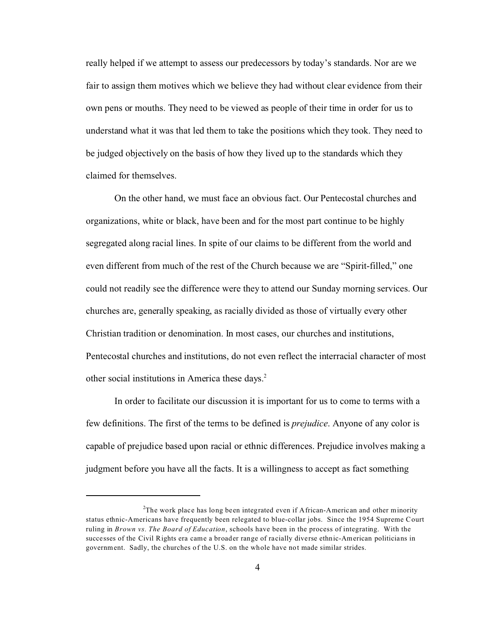really helped if we attempt to assess our predecessors by today's standards. Nor are we fair to assign them motives which we believe they had without clear evidence from their own pens or mouths. They need to be viewed as people of their time in order for us to understand what it was that led them to take the positions which they took. They need to be judged objectively on the basis of how they lived up to the standards which they claimed for themselves.

On the other hand, we must face an obvious fact. Our Pentecostal churches and organizations, white or black, have been and for the most part continue to be highly segregated along racial lines. In spite of our claims to be different from the world and even different from much of the rest of the Church because we are "Spirit-filled," one could not readily see the difference were they to attend our Sunday morning services. Our churches are, generally speaking, as racially divided as those of virtually every other Christian tradition or denomination. In most cases, our churches and institutions, Pentecostal churches and institutions, do not even reflect the interracial character of most other social institutions in America these days.<sup>2</sup>

In order to facilitate our discussion it is important for us to come to terms with a few definitions. The first of the terms to be defined is *prejudice*. Anyone of any color is capable of prejudice based upon racial or ethnic differences. Prejudice involves making a judgment before you have all the facts. It is a willingness to accept as fact something

<sup>&</sup>lt;sup>2</sup>The work place has long been integrated even if African-American and other minority status ethnic-Americans have frequently been relegated to blue-collar jobs. Since the 1954 Supreme Court ruling in *Brown vs. The Board of Education*, schools have been in the process of integrating. With the successes of the Civil Rights era came a broader range of racially diverse ethnic-American politicians in government. Sadly, the churches of the U.S. on the whole have not made similar strides.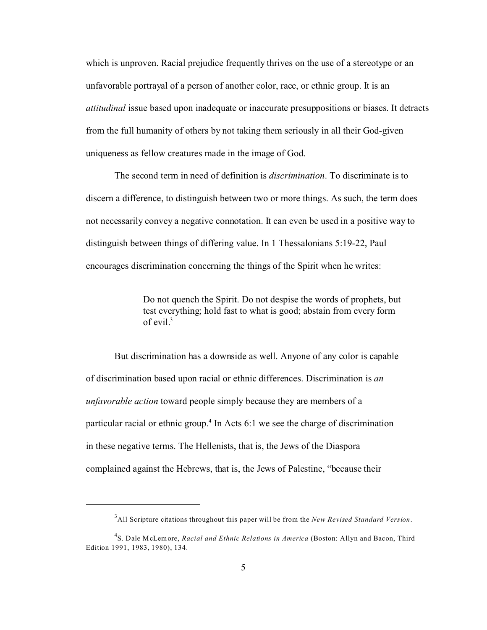which is unproven. Racial prejudice frequently thrives on the use of a stereotype or an unfavorable portrayal of a person of another color, race, or ethnic group. It is an *attitudinal* issue based upon inadequate or inaccurate presuppositions or biases. It detracts from the full humanity of others by not taking them seriously in all their God-given uniqueness as fellow creatures made in the image of God.

The second term in need of definition is *discrimination*. To discriminate is to discern a difference, to distinguish between two or more things. As such, the term does not necessarily convey a negative connotation. It can even be used in a positive way to distinguish between things of differing value. In 1 Thessalonians 5:19-22, Paul encourages discrimination concerning the things of the Spirit when he writes:

> Do not quench the Spirit. Do not despise the words of prophets, but test everything; hold fast to what is good; abstain from every form of evil. $3$

But discrimination has a downside as well. Anyone of any color is capable of discrimination based upon racial or ethnic differences. Discrimination is *an unfavorable action* toward people simply because they are members of a particular racial or ethnic group.<sup>4</sup> In Acts 6:1 we see the charge of discrimination in these negative terms. The Hellenists, that is, the Jews of the Diaspora complained against the Hebrews, that is, the Jews of Palestine, "because their

<sup>3</sup>All Scripture citations throughout this paper will be from the *New Revised Standard Version*.

<sup>4</sup> S. Dale McLemore, *Racial and Ethnic Relations in America* (Boston: Allyn and Bacon, Third Edition 1991, 1983, 1980), 134.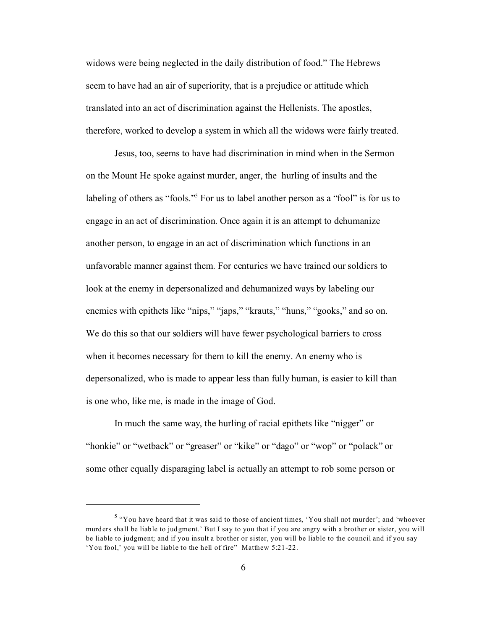widows were being neglected in the daily distribution of food." The Hebrews seem to have had an air of superiority, that is a prejudice or attitude which translated into an act of discrimination against the Hellenists. The apostles, therefore, worked to develop a system in which all the widows were fairly treated.

 Jesus, too, seems to have had discrimination in mind when in the Sermon on the Mount He spoke against murder, anger, the hurling of insults and the labeling of others as "fools."<sup>5</sup> For us to label another person as a "fool" is for us to engage in an act of discrimination. Once again it is an attempt to dehumanize another person, to engage in an act of discrimination which functions in an unfavorable manner against them. For centuries we have trained our soldiers to look at the enemy in depersonalized and dehumanized ways by labeling our enemies with epithets like "nips," "japs," "krauts," "huns," "gooks," and so on. We do this so that our soldiers will have fewer psychological barriers to cross when it becomes necessary for them to kill the enemy. An enemy who is depersonalized, who is made to appear less than fully human, is easier to kill than is one who, like me, is made in the image of God.

In much the same way, the hurling of racial epithets like "nigger" or "honkie" or "wetback" or "greaser" or "kike" or "dago" or "wop" or "polack" or some other equally disparaging label is actually an attempt to rob some person or

<sup>&</sup>lt;sup>5</sup> "You have heard that it was said to those of ancient times, 'You shall not murder'; and 'whoever murders shall be liable to judgment.' But I say to you that if you are angry with a brother or sister, you will be liable to judgment; and if you insult a brother or sister, you will be liable to the council and if you say 'You fool,' you will be liable to the hell of fire" Matthew 5:21-22.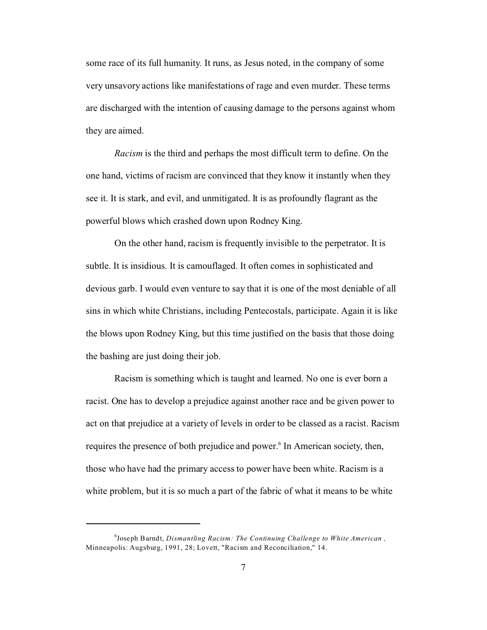some race of its full humanity. It runs, as Jesus noted, in the company of some very unsavory actions like manifestations of rage and even murder. These terms are discharged with the intention of causing damage to the persons against whom they are aimed.

*Racism* is the third and perhaps the most difficult term to define. On the one hand, victims of racism are convinced that they know it instantly when they see it. It is stark, and evil, and unmitigated. It is as profoundly flagrant as the powerful blows which crashed down upon Rodney King.

On the other hand, racism is frequently invisible to the perpetrator. It is subtle. It is insidious. It is camouflaged. It often comes in sophisticated and devious garb. I would even venture to say that it is one of the most deniable of all sins in which white Christians, including Pentecostals, participate. Again it is like the blows upon Rodney King, but this time justified on the basis that those doing the bashing are just doing their job.

Racism is something which is taught and learned. No one is ever born a racist. One has to develop a prejudice against another race and be given power to act on that prejudice at a variety of levels in order to be classed as a racist. Racism requires the presence of both prejudice and power.<sup>6</sup> In American society, then, those who have had the primary access to power have been white. Racism is a white problem, but it is so much a part of the fabric of what it means to be white

<sup>6</sup> Joseph Barndt, *Dismantling Racism: The Continuing Challenge to White American ,* Minneapolis: Augsburg, 1991, 28; Lovett, "Racism and Reconciliation," 14.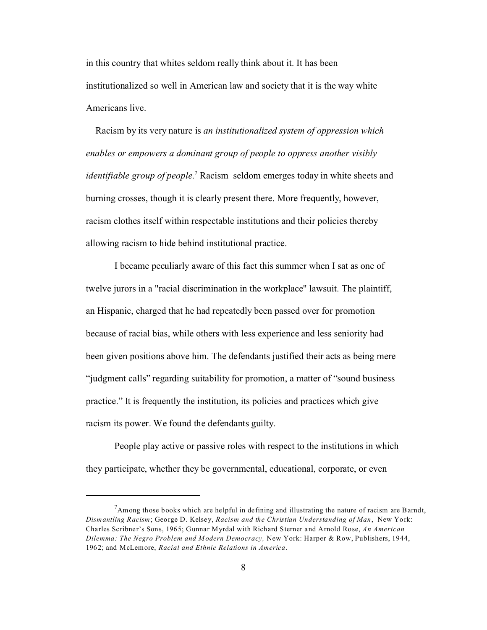in this country that whites seldom really think about it. It has been institutionalized so well in American law and society that it is the way white Americans live.

 Racism by its very nature is *an institutionalized system of oppression which enables or empowers a dominant group of people to oppress another visibly* identifiable group of people.<sup>7</sup> Racism seldom emerges today in white sheets and burning crosses, though it is clearly present there. More frequently, however, racism clothes itself within respectable institutions and their policies thereby allowing racism to hide behind institutional practice.

I became peculiarly aware of this fact this summer when I sat as one of twelve jurors in a "racial discrimination in the workplace" lawsuit. The plaintiff, an Hispanic, charged that he had repeatedly been passed over for promotion because of racial bias, while others with less experience and less seniority had been given positions above him. The defendants justified their acts as being mere "judgment calls" regarding suitability for promotion, a matter of "sound business practice." It is frequently the institution, its policies and practices which give racism its power. We found the defendants guilty.

People play active or passive roles with respect to the institutions in which they participate, whether they be governmental, educational, corporate, or even

 $<sup>7</sup>$ Among those books which are helpful in defining and illustrating the nature of racism are Barndt,</sup> *Dismantling Racism*; George D. Kelsey, *Racism and the Christian Understanding of Man*, New York: Charles Scribner's Sons, 1965; Gunnar Myrdal with Richard Sterner and Arnold Rose, *An American Dilemma: The Negro Problem and Modern Democracy,* New York: Harper & Row, Publishers, 1944, 1962; and McLemore, *Racial and Ethnic Relations in America*.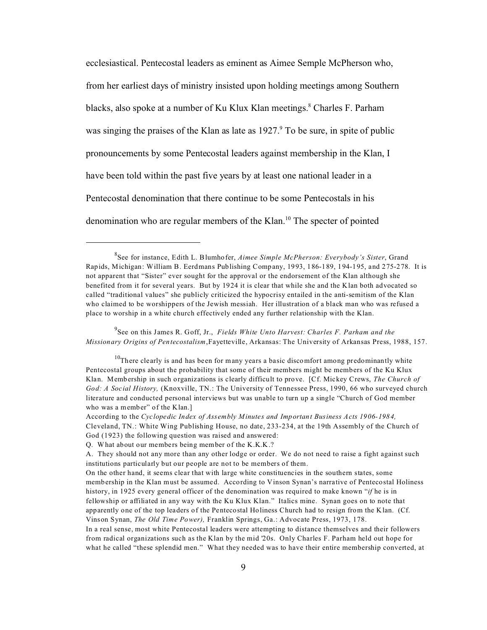ecclesiastical. Pentecostal leaders as eminent as Aimee Semple McPherson who, from her earliest days of ministry insisted upon holding meetings among Southern blacks, also spoke at a number of Ku Klux Klan meetings.<sup>8</sup> Charles F. Parham was singing the praises of the Klan as late as 1927.<sup>9</sup> To be sure, in spite of public pronouncements by some Pentecostal leaders against membership in the Klan, I have been told within the past five years by at least one national leader in a Pentecostal denomination that there continue to be some Pentecostals in his denomination who are regular members of the Klan.<sup>10</sup> The specter of pointed

9 See on this James R. Goff, Jr., *Fields White Unto Harvest: Charles F. Parham and the Missionary Origins of Pentecostalism*,Fayetteville, Arkansas: The University of Arkansas Press, 1988, 157.

<sup>8</sup> See for instance, Edith L. Blumhofer, *Aimee Simple McPherson: Everybody's Sister*, Grand Rapids, Michigan: William B. Eerdmans Publishing Company, 1993, 186-189, 194-195, and 275-278. It is not apparent that "Sister" ever sought for the approval or the endorsement of the Klan although she benefited from it for several years. But by 1924 it is clear that while she and the Klan both advocated so called "traditional values" she publicly criticized the hypocrisy entailed in the anti-semitism of the Klan who claimed to be worshippers of the Jewish messiah. Her illustration of a black man who was refused a place to worship in a white church effectively ended any further relationship with the Klan.

 $10$ There clearly is and has been for many years a basic discomfort among predominantly white Pentecostal groups about the probability that some of their members might be members of the Ku Klux Klan. Membership in such organizations is clearly difficult to prove. [Cf. Mickey Crews, *The Church of God: A Social History,* (Knoxville, TN.: The University of Tennessee Press, 1990, 66 who surveyed church literature and conducted personal interviews but was unable to turn up a single "Church of God member who was a member" of the Klan.]

According to the *Cyclopedic Index of Assembly Minutes and Important Business Acts 1906-1984,*  Cleveland, TN.: White Wing Publishing House, no date, 233-234, at the 19th Assembly of the Church of God (1923) the following question was raised and answered:

Q. What about our members being member of the K.K.K.?

A. They should not any more than any other lodge or order. We do not need to raise a fight against such institutions particularly but our people are not to be members of them.

On the other hand, it seems clear that with large white constituencies in the southern states, some membership in the Klan must be assumed. According to Vinson Synan's narrative of Pentecostal Holiness history, in 1925 every general officer of the denomination was required to make known "*if* he is in fellowship or affiliated in any way with the Ku Klux Klan." Italics mine. Synan goes on to note that apparently one of the top leaders of the Pentecostal Holiness Church had to resign from the Klan. (Cf. Vinson Synan, *The Old Time Power),* Franklin Springs, Ga.: Advocate Press, 1973, 178.

In a real sense, most white Pentecostal leaders were attempting to distance themselves and their followers from radical organizations such as the Klan by the mid '20s. Only Charles F. Parham held out hope for what he called "these splendid men." What they needed was to have their entire membership converted, at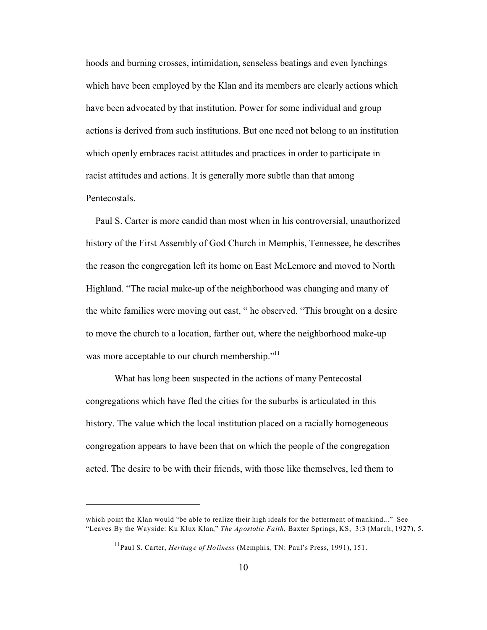hoods and burning crosses, intimidation, senseless beatings and even lynchings which have been employed by the Klan and its members are clearly actions which have been advocated by that institution. Power for some individual and group actions is derived from such institutions. But one need not belong to an institution which openly embraces racist attitudes and practices in order to participate in racist attitudes and actions. It is generally more subtle than that among Pentecostals.

 Paul S. Carter is more candid than most when in his controversial, unauthorized history of the First Assembly of God Church in Memphis, Tennessee, he describes the reason the congregation left its home on East McLemore and moved to North Highland. "The racial make-up of the neighborhood was changing and many of the white families were moving out east, " he observed. "This brought on a desire to move the church to a location, farther out, where the neighborhood make-up was more acceptable to our church membership."<sup>11</sup>

What has long been suspected in the actions of many Pentecostal congregations which have fled the cities for the suburbs is articulated in this history. The value which the local institution placed on a racially homogeneous congregation appears to have been that on which the people of the congregation acted. The desire to be with their friends, with those like themselves, led them to

which point the Klan would "be able to realize their high ideals for the betterment of mankind..." See "Leaves By the Wayside: Ku Klux Klan," *The Apostolic Faith*, Baxter Springs, KS, 3:3 (March, 1927), 5.

<sup>11</sup>Paul S. Carter, *Heritage of Holiness* (Memphis, TN: Paul's Press, 1991), 151.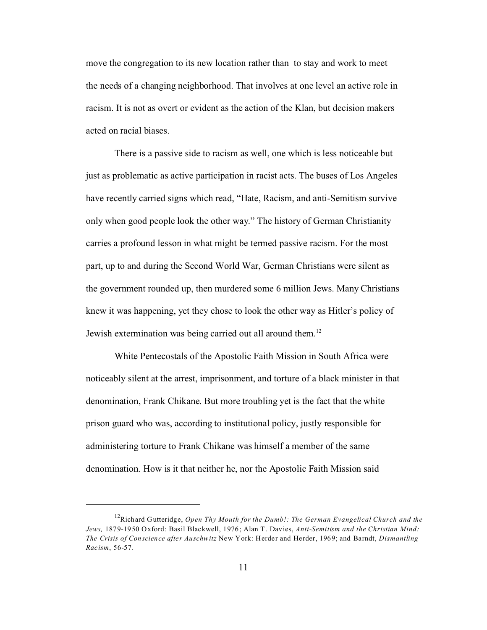move the congregation to its new location rather than to stay and work to meet the needs of a changing neighborhood. That involves at one level an active role in racism. It is not as overt or evident as the action of the Klan, but decision makers acted on racial biases.

There is a passive side to racism as well, one which is less noticeable but just as problematic as active participation in racist acts. The buses of Los Angeles have recently carried signs which read, "Hate, Racism, and anti-Semitism survive only when good people look the other way." The history of German Christianity carries a profound lesson in what might be termed passive racism. For the most part, up to and during the Second World War, German Christians were silent as the government rounded up, then murdered some 6 million Jews. Many Christians knew it was happening, yet they chose to look the other way as Hitler's policy of Jewish extermination was being carried out all around them.<sup>12</sup>

White Pentecostals of the Apostolic Faith Mission in South Africa were noticeably silent at the arrest, imprisonment, and torture of a black minister in that denomination, Frank Chikane. But more troubling yet is the fact that the white prison guard who was, according to institutional policy, justly responsible for administering torture to Frank Chikane was himself a member of the same denomination. How is it that neither he, nor the Apostolic Faith Mission said

<sup>12</sup>Richard Gutteridge, *Open Thy Mouth for the Dumb!: The German Evangelical Church and the Jews,* 1879-1950 Oxford: Basil Blackwell, 1976; Alan T. Davies, *Anti-Semitism and the Christian Mind: The Crisis of Conscience after Auschwitz* New York: Herder and Herder, 1969; and Barndt, *Dismantling Racism*, 56-57.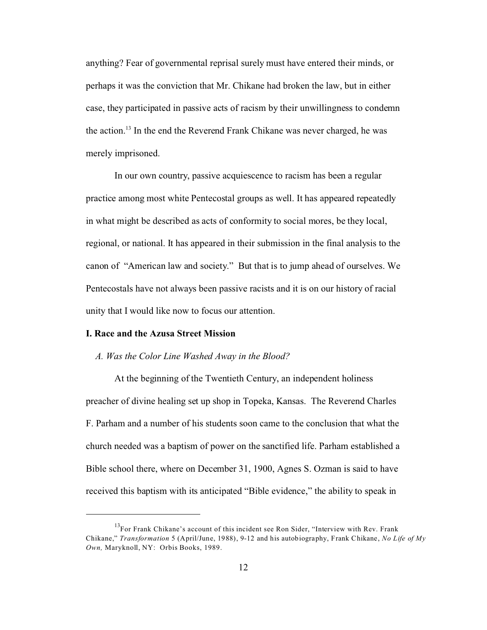anything? Fear of governmental reprisal surely must have entered their minds, or perhaps it was the conviction that Mr. Chikane had broken the law, but in either case, they participated in passive acts of racism by their unwillingness to condemn the action.<sup>13</sup> In the end the Reverend Frank Chikane was never charged, he was merely imprisoned.

In our own country, passive acquiescence to racism has been a regular practice among most white Pentecostal groups as well. It has appeared repeatedly in what might be described as acts of conformity to social mores, be they local, regional, or national. It has appeared in their submission in the final analysis to the canon of "American law and society." But that is to jump ahead of ourselves. We Pentecostals have not always been passive racists and it is on our history of racial unity that I would like now to focus our attention.

#### **I. Race and the Azusa Street Mission**

#### *A. Was the Color Line Washed Away in the Blood?*

 At the beginning of the Twentieth Century, an independent holiness preacher of divine healing set up shop in Topeka, Kansas. The Reverend Charles F. Parham and a number of his students soon came to the conclusion that what the church needed was a baptism of power on the sanctified life. Parham established a Bible school there, where on December 31, 1900, Agnes S. Ozman is said to have received this baptism with its anticipated "Bible evidence," the ability to speak in

<sup>&</sup>lt;sup>13</sup>For Frank Chikane's account of this incident see Ron Sider, "Interview with Rev. Frank Chikane," *Transformation* 5 (April/June, 1988), 9-12 and his autobiography, Frank Chikane, *No Life of My Own,* Maryknoll, NY: Orbis Books, 1989.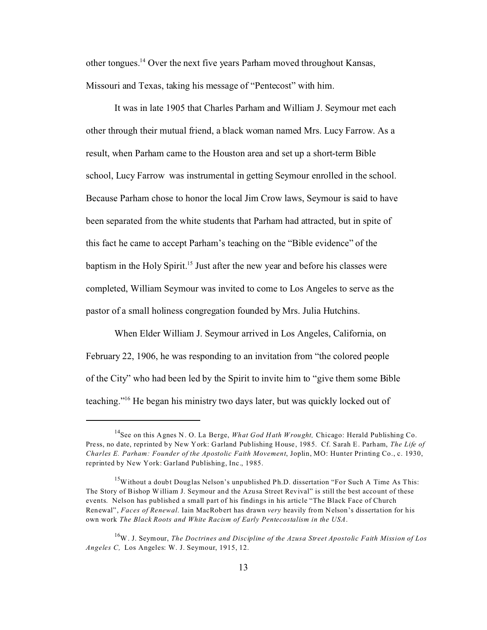other tongues.<sup>14</sup> Over the next five years Parham moved throughout Kansas, Missouri and Texas, taking his message of "Pentecost" with him.

It was in late 1905 that Charles Parham and William J. Seymour met each other through their mutual friend, a black woman named Mrs. Lucy Farrow. As a result, when Parham came to the Houston area and set up a short-term Bible school, Lucy Farrow was instrumental in getting Seymour enrolled in the school. Because Parham chose to honor the local Jim Crow laws, Seymour is said to have been separated from the white students that Parham had attracted, but in spite of this fact he came to accept Parham's teaching on the "Bible evidence" of the baptism in the Holy Spirit.<sup>15</sup> Just after the new year and before his classes were completed, William Seymour was invited to come to Los Angeles to serve as the pastor of a small holiness congregation founded by Mrs. Julia Hutchins.

When Elder William J. Seymour arrived in Los Angeles, California, on February 22, 1906, he was responding to an invitation from "the colored people of the City" who had been led by the Spirit to invite him to "give them some Bible teaching."16 He began his ministry two days later, but was quickly locked out of

<sup>&</sup>lt;sup>14</sup>See on this Agnes N. O. La Berge, *What God Hath Wrought*, Chicago: Herald Publishing Co. Press, no date, reprinted by New York: Garland Publishing House, 1985. Cf. Sarah E. Parham, *The Life of Charles E. Parham: Founder of the Apostolic Faith Movement*, Joplin, MO: Hunter Printing Co., c. 1930, reprinted by New York: Garland Publishing, Inc., 1985.

<sup>&</sup>lt;sup>15</sup>Without a doubt Douglas Nelson's unpublished Ph.D. dissertation "For Such A Time As This: The Story of Bishop William J. Seymour and the Azusa Street Revival" is still the best account of these events. Nelson has published a small part of his findings in his article "The Black Face of Church Renewal", *Faces of Renewal*. Iain MacRobert has drawn *very* heavily from Nelson's dissertation for his own work *The Black Roots and White Racism of Early Pentecostalism in the USA*.

<sup>16</sup>W. J. Seymour, *The Doctrines and Discipline of the Azusa Street Apostolic Faith Mission of Los Angeles C,* Los Angeles: W. J. Seymour, 1915, 12.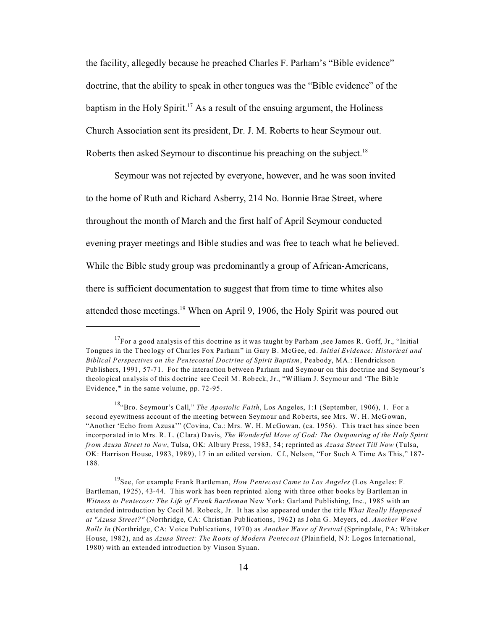the facility, allegedly because he preached Charles F. Parham's "Bible evidence" doctrine, that the ability to speak in other tongues was the "Bible evidence" of the baptism in the Holy Spirit.<sup>17</sup> As a result of the ensuing argument, the Holiness Church Association sent its president, Dr. J. M. Roberts to hear Seymour out. Roberts then asked Seymour to discontinue his preaching on the subject.<sup>18</sup>

Seymour was not rejected by everyone, however, and he was soon invited to the home of Ruth and Richard Asberry, 214 No. Bonnie Brae Street, where throughout the month of March and the first half of April Seymour conducted evening prayer meetings and Bible studies and was free to teach what he believed. While the Bible study group was predominantly a group of African-Americans, there is sufficient documentation to suggest that from time to time whites also attended those meetings.<sup>19</sup> When on April 9, 1906, the Holy Spirit was poured out

 $17$ For a good analysis of this doctrine as it was taught by Parham, see James R. Goff, Jr., "Initial Tongues in the Theology of Charles Fox Parham" in Gary B. McGee, ed. *Initial Evidence: Historical and Biblical Perspectives on the Pentecostal Doctrine of Spirit Baptism*, Peabody, MA.: Hendrickson Publishers, 1991, 57-71. For the interaction between Parham and Seymour on this doctrine and Seymour's theological analysis of this doctrine see Cecil M. Robeck, Jr., "William J. Seymour and 'The Bible Evidence,'" in the same volume, pp. 72-95.

<sup>&</sup>lt;sup>18</sup>"Bro. Seymour's Call," *The Apostolic Faith*, Los Angeles, 1:1 (September, 1906), 1. For a second eyewitness account of the meeting between Seymour and Roberts, see Mrs. W. H. McGowan, "Another 'Echo from Azusa'" (Covina, Ca.: Mrs. W. H. McGowan, (ca. 1956). This tract has since been incorporated into Mrs. R. L. (Clara) Davis, *The Wonderful Move of God: The Outpouring of the Holy Spirit from Azusa Street to Now*, Tulsa, OK: Albury Press, 1983, 54; reprinted as *Azusa Street Till Now* (Tulsa, OK: Harrison House, 1983, 1989), 17 in an edited version. Cf., Nelson, "For Such A Time As This," 187- 188.

<sup>19</sup>See, for example Frank Bartleman, *How Pentecost Came to Los Angeles* (Los Angeles: F. Bartleman, 1925), 43-44. This work has been reprinted along with three other books by Bartleman in *Witness to Pentecost: The Life of Frank Bartleman* New York: Garland Publishing, Inc., 1985 with an extended introduction by Cecil M. Robeck, Jr. It has also appeared under the title *What Really Happened at "Azusa Street?"* (Northridge, CA: Christian Publications, 1962) as John G. Meyers, ed. *Another Wave Rolls In* (Northridge, CA: Voice Publications, 1970) as *Another Wave of Revival* (Springdale, PA: Whitaker House, 1982), and as *Azusa Street: The Roots of Modern Pentecost* (Plainfield, NJ: Logos International, 1980) with an extended introduction by Vinson Synan.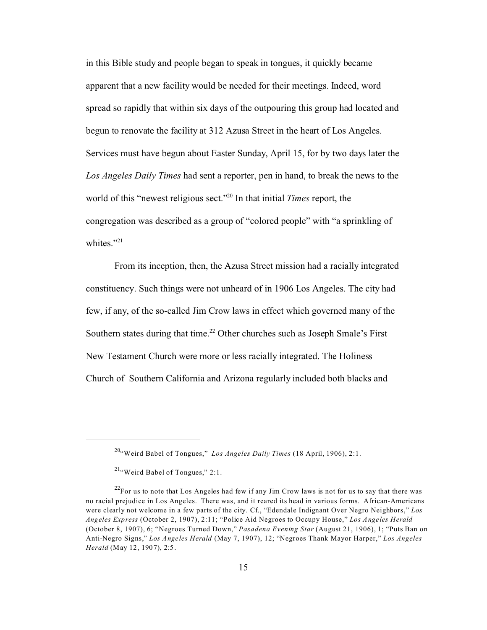in this Bible study and people began to speak in tongues, it quickly became apparent that a new facility would be needed for their meetings. Indeed, word spread so rapidly that within six days of the outpouring this group had located and begun to renovate the facility at 312 Azusa Street in the heart of Los Angeles. Services must have begun about Easter Sunday, April 15, for by two days later the *Los Angeles Daily Times* had sent a reporter, pen in hand, to break the news to the world of this "newest religious sect."<sup>20</sup> In that initial *Times* report, the congregation was described as a group of "colored people" with "a sprinkling of whites." $^{21}$ 

From its inception, then, the Azusa Street mission had a racially integrated constituency. Such things were not unheard of in 1906 Los Angeles. The city had few, if any, of the so-called Jim Crow laws in effect which governed many of the Southern states during that time.<sup>22</sup> Other churches such as Joseph Smale's First New Testament Church were more or less racially integrated. The Holiness Church of Southern California and Arizona regularly included both blacks and

<sup>20</sup>"Weird Babel of Tongues," *Los Angeles Daily Times* (18 April, 1906), 2:1.

 $21$ "Weird Babel of Tongues," 2:1.

 $22$ For us to note that Los Angeles had few if any Jim Crow laws is not for us to say that there was no racial prejudice in Los Angeles. There was, and it reared its head in various forms. African-Americans were clearly not welcome in a few parts of the city. Cf., "Edendale Indignant Over Negro Neighbors," *Los Angeles Express* (October 2, 1907), 2:11; "Police Aid Negroes to Occupy House," *Los Angeles Herald* (October 8, 1907), 6; "Negroes Turned Down," *Pasadena Evening Star* (August 21, 1906), 1; "Puts Ban on Anti-Negro Signs," *Los Angeles Herald* (May 7, 1907), 12; "Negroes Thank Mayor Harper," *Los Angeles Herald* (May 12, 1907), 2:5.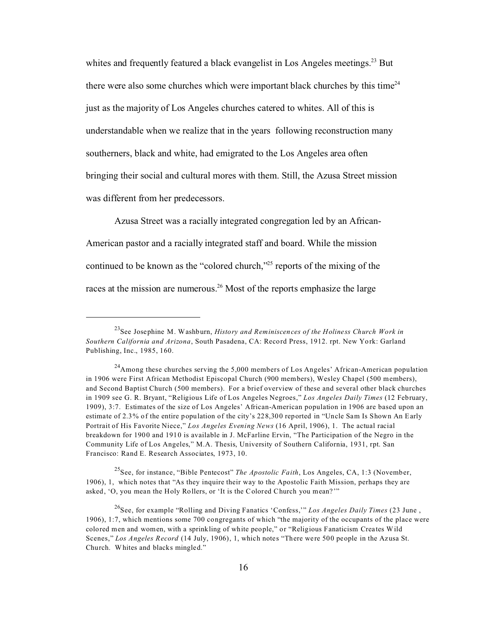whites and frequently featured a black evangelist in Los Angeles meetings.<sup>23</sup> But there were also some churches which were important black churches by this time<sup>24</sup> just as the majority of Los Angeles churches catered to whites. All of this is understandable when we realize that in the years following reconstruction many southerners, black and white, had emigrated to the Los Angeles area often bringing their social and cultural mores with them. Still, the Azusa Street mission was different from her predecessors.

Azusa Street was a racially integrated congregation led by an African-American pastor and a racially integrated staff and board. While the mission continued to be known as the "colored church,"<sup>25</sup> reports of the mixing of the races at the mission are numerous.<sup>26</sup> Most of the reports emphasize the large

<sup>25</sup>See, for instance, "Bible Pentecost" *The Apostolic Faith*, Los Angeles, CA, 1:3 (November, 1906), 1, which notes that "As they inquire their way to the Apostolic Faith Mission, perhaps they are asked, 'O, you mean the Holy Rollers, or 'It is the Colored Church you mean?'"

<sup>23</sup>See Josephine M. Washburn, *History and Reminiscences of the Holiness Church Work in Southern California and Arizona*, South Pasadena, CA: Record Press, 1912. rpt. New York: Garland Publishing, Inc., 1985, 160.

 $^{24}$ Among these churches serving the 5,000 members of Los Angeles' African-American population in 1906 were First African Methodist Episcopal Church (900 members), Wesley Chapel (500 members), and Second Baptist Church (500 members). For a brief overview of these and several other black churches in 1909 see G. R. Bryant, "Religious Life of Los Angeles Negroes," *Los Angeles Daily Times* (12 February, 1909), 3:7. Estimates of the size of Los Angeles' African-American population in 1906 are based upon an estimate of 2.3% of the entire population of the city's 228,300 reported in "Uncle Sam Is Shown An Early Portrait of His Favorite Niece," *Los Angeles Evening News* (16 April, 1906), 1. The actual racial breakdown for 1900 and 1910 is available in J. McFarline Ervin, "The Participation of the Negro in the Community Life of Los Angeles," M.A. Thesis, University of Southern California, 1931, rpt. San Francisco: Rand E. Research Associates, 1973, 10.

<sup>&</sup>lt;sup>26</sup>See, for example "Rolling and Diving Fanatics 'Confess," Los Angeles Daily Times (23 June, 1906), 1:7, which mentions some 700 congregants of which "the majority of the occupants of the place were colored men and women, with a sprinkling of white people," or "Religious Fanaticism Creates Wild Scenes," *Los Angeles Record* (14 July, 1906), 1, which notes "There were 500 people in the Azusa St. Church. Whites and blacks mingled."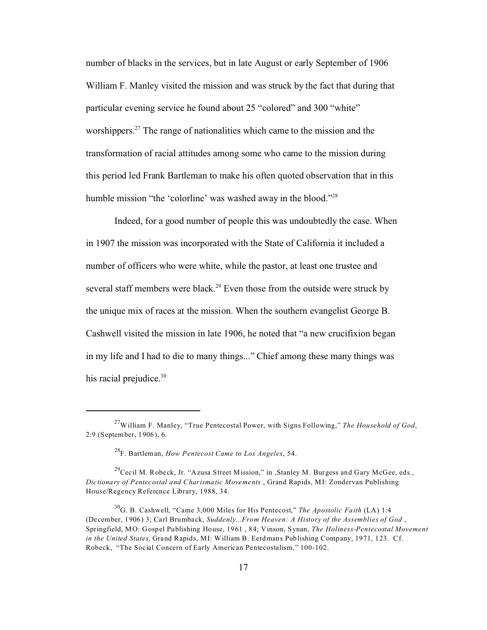number of blacks in the services, but in late August or early September of 1906 William F. Manley visited the mission and was struck by the fact that during that particular evening service he found about 25 "colored" and 300 "white" worshippers.<sup>27</sup> The range of nationalities which came to the mission and the transformation of racial attitudes among some who came to the mission during this period led Frank Bartleman to make his often quoted observation that in this humble mission "the 'colorline' was washed away in the blood."<sup>28</sup>

Indeed, for a good number of people this was undoubtedly the case. When in 1907 the mission was incorporated with the State of California it included a number of officers who were white, while the pastor, at least one trustee and several staff members were black.<sup>29</sup> Even those from the outside were struck by the unique mix of races at the mission. When the southern evangelist George B. Cashwell visited the mission in late 1906, he noted that "a new crucifixion began in my life and I had to die to many things..." Chief among these many things was his racial prejudice.<sup>30</sup>

<sup>27</sup>William F. Manley, "True Pentecostal Power, with Signs Following," *The Household of God*, 2:9 (September, 1906), 6.

<sup>28</sup>F. Bartleman, *How Pentecost Came to Los Angeles*, 54.

<sup>&</sup>lt;sup>29</sup>Cecil M. Robeck, Jr. "Azusa Street Mission," in ,Stanley M. Burgess and Gary McGee, eds., *Dictionary of Pentecostal and Charismatic Movements* , Grand Rapids, MI: Zondervan Publishing House/Regency Reference Library, 1988, 34.

<sup>30</sup>G. B. Cashwell, "Came 3,000 Miles for His Pentecost," *The Apostolic Faith* (LA) 1:4 (December, 1906) 3; Carl Brumback, *Suddenly...From Heaven: A History of the Assemblies of God* , Springfield, MO: Gospel Publishing House, 1961 , 84; Vinson, Synan, *The Holiness-Pentecostal Movement in the United States*, Grand Rapids, MI: William B. Eerdmans Publishing Company, 1971, 123. Cf. Robeck, "The Social Concern of Early American Pentecostalism," 100-102.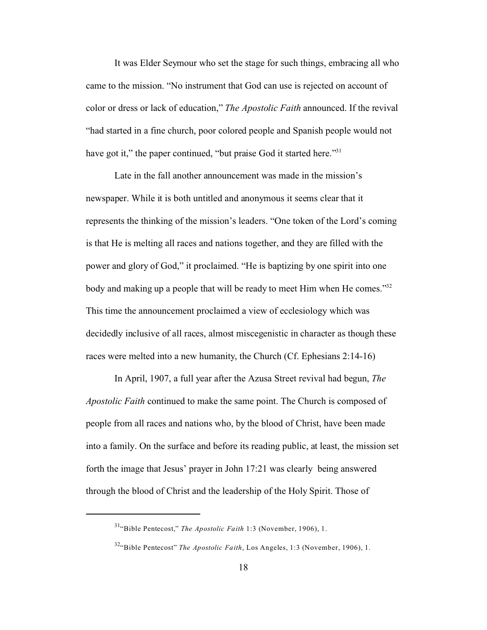It was Elder Seymour who set the stage for such things, embracing all who came to the mission. "No instrument that God can use is rejected on account of color or dress or lack of education," *The Apostolic Faith* announced. If the revival "had started in a fine church, poor colored people and Spanish people would not have got it," the paper continued, "but praise God it started here."<sup>31</sup>

Late in the fall another announcement was made in the mission's newspaper. While it is both untitled and anonymous it seems clear that it represents the thinking of the mission's leaders. "One token of the Lord's coming is that He is melting all races and nations together, and they are filled with the power and glory of God," it proclaimed. "He is baptizing by one spirit into one body and making up a people that will be ready to meet Him when He comes."<sup>32</sup> This time the announcement proclaimed a view of ecclesiology which was decidedly inclusive of all races, almost miscegenistic in character as though these races were melted into a new humanity, the Church (Cf. Ephesians 2:14-16)

In April, 1907, a full year after the Azusa Street revival had begun, *The Apostolic Faith* continued to make the same point. The Church is composed of people from all races and nations who, by the blood of Christ, have been made into a family. On the surface and before its reading public, at least, the mission set forth the image that Jesus' prayer in John 17:21 was clearly being answered through the blood of Christ and the leadership of the Holy Spirit. Those of

<sup>31</sup>"Bible Pentecost," *The Apostolic Faith* 1:3 (November, 1906), 1.

<sup>32</sup>"Bible Pentecost" *The Apostolic Faith*, Los Angeles, 1:3 (November, 1906), 1.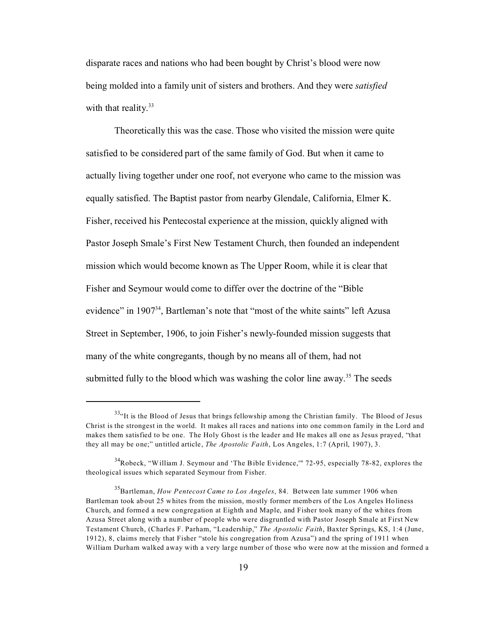disparate races and nations who had been bought by Christ's blood were now being molded into a family unit of sisters and brothers. And they were *satisfied* with that reality. $33$ 

Theoretically this was the case. Those who visited the mission were quite satisfied to be considered part of the same family of God. But when it came to actually living together under one roof, not everyone who came to the mission was equally satisfied. The Baptist pastor from nearby Glendale, California, Elmer K. Fisher, received his Pentecostal experience at the mission, quickly aligned with Pastor Joseph Smale's First New Testament Church, then founded an independent mission which would become known as The Upper Room, while it is clear that Fisher and Seymour would come to differ over the doctrine of the "Bible evidence" in  $1907^{34}$ , Bartleman's note that "most of the white saints" left Azusa Street in September, 1906, to join Fisher's newly-founded mission suggests that many of the white congregants, though by no means all of them, had not submitted fully to the blood which was washing the color line away.<sup>35</sup> The seeds

<sup>&</sup>lt;sup>33</sup>"It is the Blood of Jesus that brings fellowship among the Christian family. The Blood of Jesus Christ is the strongest in the world. It makes all races and nations into one common family in the Lord and makes them satisfied to be one. The Holy Ghost is the leader and He makes all one as Jesus prayed, "that they all may be one;" untitled article, *The Apostolic Faith*, Los Angeles, 1:7 (April, 1907), 3.

<sup>34</sup>Robeck, "William J. Seymour and 'The Bible Evidence,'" 72-95, especially 78-82, explores the theological issues which separated Seymour from Fisher.

<sup>35</sup>Bartleman, *How Pentecost Came to Los Angeles*, 84. Between late summer 1906 when Bartleman took about 25 whites from the mission, mostly former members of the Los Angeles Holiness Church, and formed a new congregation at Eighth and Maple, and Fisher took many of the whites from Azusa Street along with a number of people who were disgruntled with Pastor Joseph Smale at First New Testament Church, (Charles F. Parham, "Leadership," *The Apostolic Faith*, Baxter Springs, KS, 1:4 (June, 1912), 8, claims merely that Fisher "stole his congregation from Azusa") and the spring of 1911 when William Durham walked away with a very large number of those who were now at the mission and formed a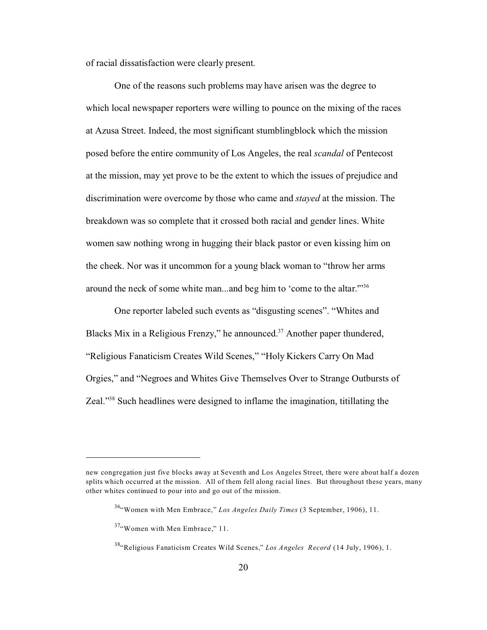of racial dissatisfaction were clearly present.

One of the reasons such problems may have arisen was the degree to which local newspaper reporters were willing to pounce on the mixing of the races at Azusa Street. Indeed, the most significant stumblingblock which the mission posed before the entire community of Los Angeles, the real *scandal* of Pentecost at the mission, may yet prove to be the extent to which the issues of prejudice and discrimination were overcome by those who came and *stayed* at the mission. The breakdown was so complete that it crossed both racial and gender lines. White women saw nothing wrong in hugging their black pastor or even kissing him on the cheek. Nor was it uncommon for a young black woman to "throw her arms around the neck of some white man...and beg him to 'come to the altar.'"<sup>36</sup>

One reporter labeled such events as "disgusting scenes". "Whites and Blacks Mix in a Religious Frenzy," he announced. $37$  Another paper thundered, "Religious Fanaticism Creates Wild Scenes," "Holy Kickers Carry On Mad Orgies," and "Negroes and Whites Give Themselves Over to Strange Outbursts of Zeal."38 Such headlines were designed to inflame the imagination, titillating the

new congregation just five blocks away at Seventh and Los Angeles Street, there were about half a dozen splits which occurred at the mission. All of them fell along racial lines. But throughout these years, many other whites continued to pour into and go out of the mission.

<sup>&</sup>lt;sup>36</sup>"Women with Men Embrace," Los Angeles Daily Times (3 September, 1906), 11.

 $37$ "Women with Men Embrace," 11.

<sup>&</sup>lt;sup>38</sup>"Religious Fanaticism Creates Wild Scenes," *Los Angeles Record* (14 July, 1906), 1.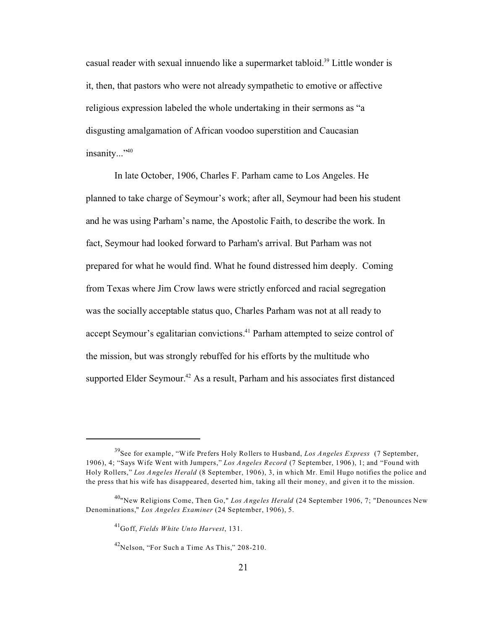casual reader with sexual innuendo like a supermarket tabloid.<sup>39</sup> Little wonder is it, then, that pastors who were not already sympathetic to emotive or affective religious expression labeled the whole undertaking in their sermons as "a disgusting amalgamation of African voodoo superstition and Caucasian insanity..."<sup>40</sup>

In late October, 1906, Charles F. Parham came to Los Angeles. He planned to take charge of Seymour's work; after all, Seymour had been his student and he was using Parham's name, the Apostolic Faith, to describe the work. In fact, Seymour had looked forward to Parham's arrival. But Parham was not prepared for what he would find. What he found distressed him deeply. Coming from Texas where Jim Crow laws were strictly enforced and racial segregation was the socially acceptable status quo, Charles Parham was not at all ready to accept Seymour's egalitarian convictions.<sup>41</sup> Parham attempted to seize control of the mission, but was strongly rebuffed for his efforts by the multitude who supported Elder Seymour.<sup>42</sup> As a result, Parham and his associates first distanced

<sup>39</sup>See for example, "Wife Prefers Holy Rollers to Husband, *Los Angeles Express* (7 September, 1906), 4; "Says Wife Went with Jumpers," *Los Angeles Record* (7 September, 1906), 1; and "Found with Holy Rollers," *Los Angeles Herald* (8 September, 1906), 3, in which Mr. Emil Hugo notifies the police and the press that his wife has disappeared, deserted him, taking all their money, and given it to the mission.

<sup>40</sup>"New Religions Come, Then Go," *Los Angeles Herald* (24 September 1906, 7; "Denounces New Denominations," *Los Angeles Examiner* (24 September, 1906), 5.

<sup>41</sup>Goff, *Fields White Unto Harvest*, 131.

 $42$ Nelson, "For Such a Time As This," 208-210.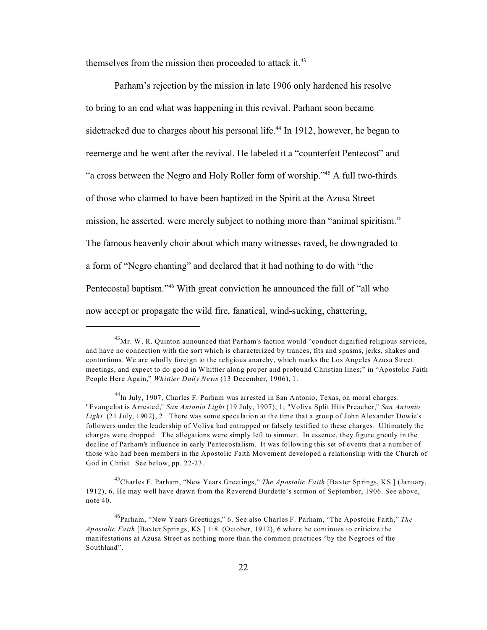themselves from the mission then proceeded to attack it. $43$ 

Parham's rejection by the mission in late 1906 only hardened his resolve to bring to an end what was happening in this revival. Parham soon became sidetracked due to charges about his personal life.<sup>44</sup> In 1912, however, he began to reemerge and he went after the revival. He labeled it a "counterfeit Pentecost" and "a cross between the Negro and Holy Roller form of worship."<sup>45</sup> A full two-thirds of those who claimed to have been baptized in the Spirit at the Azusa Street mission, he asserted, were merely subject to nothing more than "animal spiritism." The famous heavenly choir about which many witnesses raved, he downgraded to a form of "Negro chanting" and declared that it had nothing to do with "the Pentecostal baptism."<sup>46</sup> With great conviction he announced the fall of "all who now accept or propagate the wild fire, fanatical, wind-sucking, chattering,

 $^{43}$ Mr. W. R. Quinton announced that Parham's faction would "conduct dignified religious services, and have no connection with the sort which is characterized by trances, fits and spasms, jerks, shakes and contortions. We are wholly foreign to the religious anarchy, which marks the Los Angeles Azusa Street meetings, and expect to do good in Whittier along proper and profound Christian lines;" in "Apostolic Faith People Here Again," *Whittier Daily News* (13 December, 1906), 1.

<sup>&</sup>lt;sup>44</sup>In July, 1907, Charles F. Parham was arrested in San Antonio, Texas, on moral charges. "Evangelist is Arrested," *San Antonio Light* (19 July, 1907), 1; "Voliva Split Hits Preacher," *San Antonio* Light (21 July, 1902), 2. There was some speculation at the time that a group of John Alexander Dowie's followers under the leadership of Voliva had entrapped or falsely testified to these charges. Ultimately the charges were dropped. The allegations were simply left to simmer. In essence, they figure greatly in the decline of Parham's influence in early Pentecostalism. It was following this set of events that a number of those who had been members in the Apostolic Faith Movement developed a relationship with the Church of God in Christ. See below, pp. 22-23.

<sup>45</sup>Charles F. Parham, "New Years Greetings," *The Apostolic Faith* [Baxter Springs, KS.] (January, 1912), 6. He may well have drawn from the Reverend Burdette's sermon of September, 1906. See above, note 40.

<sup>46</sup>Parham, "New Years Greetings," 6. See also Charles F. Parham, "The Apostolic Faith," *The Apostolic Faith* [Baxter Springs, KS.] 1:8 (October, 1912), 6 where he continues to criticize the manifestations at Azusa Street as nothing more than the common practices "by the Negroes of the Southland".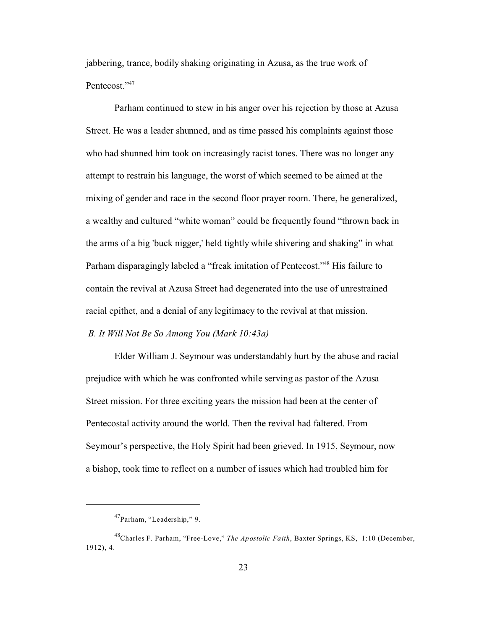jabbering, trance, bodily shaking originating in Azusa, as the true work of Pentecost."<sup>47</sup>

Parham continued to stew in his anger over his rejection by those at Azusa Street. He was a leader shunned, and as time passed his complaints against those who had shunned him took on increasingly racist tones. There was no longer any attempt to restrain his language, the worst of which seemed to be aimed at the mixing of gender and race in the second floor prayer room. There, he generalized, a wealthy and cultured "white woman" could be frequently found "thrown back in the arms of a big 'buck nigger,' held tightly while shivering and shaking" in what Parham disparagingly labeled a "freak imitation of Pentecost."<sup>48</sup> His failure to contain the revival at Azusa Street had degenerated into the use of unrestrained racial epithet, and a denial of any legitimacy to the revival at that mission.

### *B. It Will Not Be So Among You (Mark 10:43a)*

Elder William J. Seymour was understandably hurt by the abuse and racial prejudice with which he was confronted while serving as pastor of the Azusa Street mission. For three exciting years the mission had been at the center of Pentecostal activity around the world. Then the revival had faltered. From Seymour's perspective, the Holy Spirit had been grieved. In 1915, Seymour, now a bishop, took time to reflect on a number of issues which had troubled him for

<sup>47</sup>Parham, "Leadership," 9.

<sup>48</sup>Charles F. Parham, "Free-Love," *The Apostolic Faith*, Baxter Springs, KS, 1:10 (December, 1912), 4.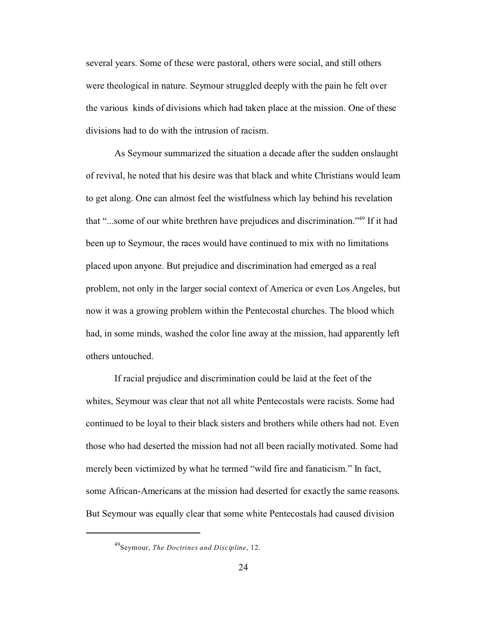several years. Some of these were pastoral, others were social, and still others were theological in nature. Seymour struggled deeply with the pain he felt over the various kinds of divisions which had taken place at the mission. One of these divisions had to do with the intrusion of racism.

As Seymour summarized the situation a decade after the sudden onslaught of revival, he noted that his desire was that black and white Christians would learn to get along. One can almost feel the wistfulness which lay behind his revelation that "...some of our white brethren have prejudices and discrimination."<sup>49</sup> If it had been up to Seymour, the races would have continued to mix with no limitations placed upon anyone. But prejudice and discrimination had emerged as a real problem, not only in the larger social context of America or even Los Angeles, but now it was a growing problem within the Pentecostal churches. The blood which had, in some minds, washed the color line away at the mission, had apparently left others untouched.

If racial prejudice and discrimination could be laid at the feet of the whites, Seymour was clear that not all white Pentecostals were racists. Some had continued to be loyal to their black sisters and brothers while others had not. Even those who had deserted the mission had not all been racially motivated. Some had merely been victimized by what he termed "wild fire and fanaticism." In fact, some African-Americans at the mission had deserted for exactly the same reasons. But Seymour was equally clear that some white Pentecostals had caused division

<sup>49</sup>Seymour, *The Doctrines and Discipline*, 12.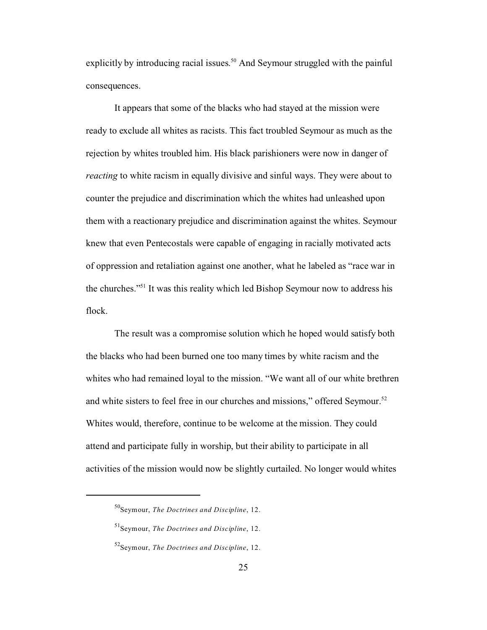explicitly by introducing racial issues.<sup>50</sup> And Seymour struggled with the painful consequences.

It appears that some of the blacks who had stayed at the mission were ready to exclude all whites as racists. This fact troubled Seymour as much as the rejection by whites troubled him. His black parishioners were now in danger of *reacting* to white racism in equally divisive and sinful ways. They were about to counter the prejudice and discrimination which the whites had unleashed upon them with a reactionary prejudice and discrimination against the whites. Seymour knew that even Pentecostals were capable of engaging in racially motivated acts of oppression and retaliation against one another, what he labeled as "race war in the churches."<sup>51</sup> It was this reality which led Bishop Seymour now to address his flock.

The result was a compromise solution which he hoped would satisfy both the blacks who had been burned one too many times by white racism and the whites who had remained loyal to the mission. "We want all of our white brethren and white sisters to feel free in our churches and missions," offered Seymour.<sup>52</sup> Whites would, therefore, continue to be welcome at the mission. They could attend and participate fully in worship, but their ability to participate in all activities of the mission would now be slightly curtailed. No longer would whites

<sup>50</sup>Seymour, *The Doctrines and Discipline*, 12.

<sup>51</sup>Seymour, *The Doctrines and Discipline*, 12.

<sup>52</sup>Seymour, *The Doctrines and Discipline*, 12.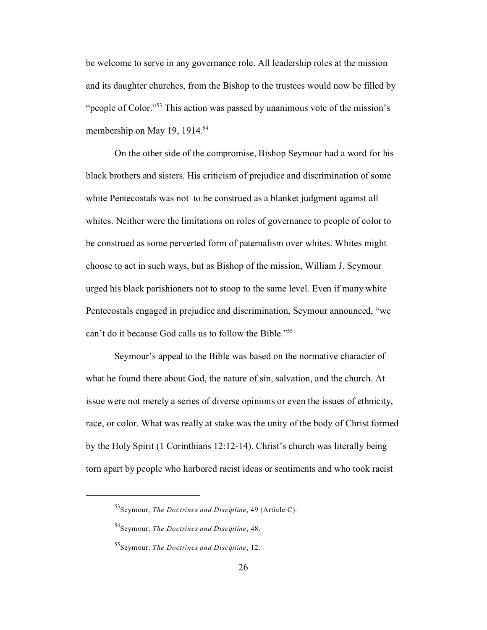be welcome to serve in any governance role. All leadership roles at the mission and its daughter churches, from the Bishop to the trustees would now be filled by "people of Color."<sup>53</sup> This action was passed by unanimous vote of the mission's membership on May 19, 1914.<sup>54</sup>

On the other side of the compromise, Bishop Seymour had a word for his black brothers and sisters. His criticism of prejudice and discrimination of some white Pentecostals was not to be construed as a blanket judgment against all whites. Neither were the limitations on roles of governance to people of color to be construed as some perverted form of paternalism over whites. Whites might choose to act in such ways, but as Bishop of the mission, William J. Seymour urged his black parishioners not to stoop to the same level. Even if many white Pentecostals engaged in prejudice and discrimination, Seymour announced, "we can't do it because God calls us to follow the Bible."<sup>55</sup>

Seymour's appeal to the Bible was based on the normative character of what he found there about God, the nature of sin, salvation, and the church. At issue were not merely a series of diverse opinions or even the issues of ethnicity, race, or color. What was really at stake was the unity of the body of Christ formed by the Holy Spirit (1 Corinthians 12:12-14). Christ's church was literally being torn apart by people who harbored racist ideas or sentiments and who took racist

<sup>53</sup>Seymour, *The Doctrines and Discipline*, 49 (Article C).

<sup>54</sup>Seymour, *The Doctrines and Discipline*, 48.

<sup>55</sup>Seymour, *The Doctrines and Discipline*, 12.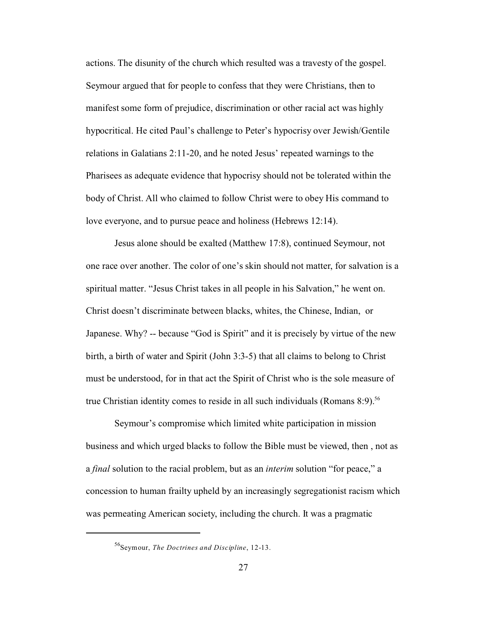actions. The disunity of the church which resulted was a travesty of the gospel. Seymour argued that for people to confess that they were Christians, then to manifest some form of prejudice, discrimination or other racial act was highly hypocritical. He cited Paul's challenge to Peter's hypocrisy over Jewish/Gentile relations in Galatians 2:11-20, and he noted Jesus' repeated warnings to the Pharisees as adequate evidence that hypocrisy should not be tolerated within the body of Christ. All who claimed to follow Christ were to obey His command to love everyone, and to pursue peace and holiness (Hebrews 12:14).

Jesus alone should be exalted (Matthew 17:8), continued Seymour, not one race over another. The color of one's skin should not matter, for salvation is a spiritual matter. "Jesus Christ takes in all people in his Salvation," he went on. Christ doesn't discriminate between blacks, whites, the Chinese, Indian, or Japanese. Why? -- because "God is Spirit" and it is precisely by virtue of the new birth, a birth of water and Spirit (John 3:3-5) that all claims to belong to Christ must be understood, for in that act the Spirit of Christ who is the sole measure of true Christian identity comes to reside in all such individuals (Romans  $8:9$ ).<sup>56</sup>

Seymour's compromise which limited white participation in mission business and which urged blacks to follow the Bible must be viewed, then , not as a *final* solution to the racial problem, but as an *interim* solution "for peace," a concession to human frailty upheld by an increasingly segregationist racism which was permeating American society, including the church. It was a pragmatic

<sup>56</sup>Seymour, *The Doctrines and Discipline*, 12-13.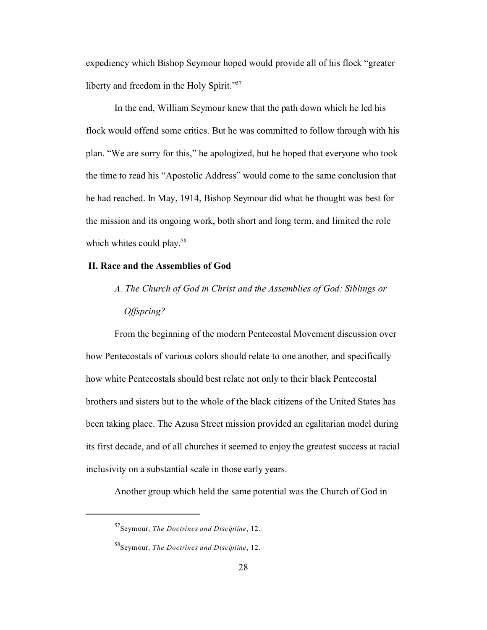expediency which Bishop Seymour hoped would provide all of his flock "greater liberty and freedom in the Holy Spirit."<sup>57</sup>

In the end, William Seymour knew that the path down which he led his flock would offend some critics. But he was committed to follow through with his plan. "We are sorry for this," he apologized, but he hoped that everyone who took the time to read his "Apostolic Address" would come to the same conclusion that he had reached. In May, 1914, Bishop Seymour did what he thought was best for the mission and its ongoing work, both short and long term, and limited the role which whites could play.<sup>58</sup>

#### **II. Race and the Assemblies of God**

 *A. The Church of God in Christ and the Assemblies of God: Siblings or Offspring?*

From the beginning of the modern Pentecostal Movement discussion over how Pentecostals of various colors should relate to one another, and specifically how white Pentecostals should best relate not only to their black Pentecostal brothers and sisters but to the whole of the black citizens of the United States has been taking place. The Azusa Street mission provided an egalitarian model during its first decade, and of all churches it seemed to enjoy the greatest success at racial inclusivity on a substantial scale in those early years.

Another group which held the same potential was the Church of God in

<sup>57</sup>Seymour, *The Doctrines and Discipline*, 12.

<sup>58</sup>Seymour, *The Doctrines and Discipline*, 12.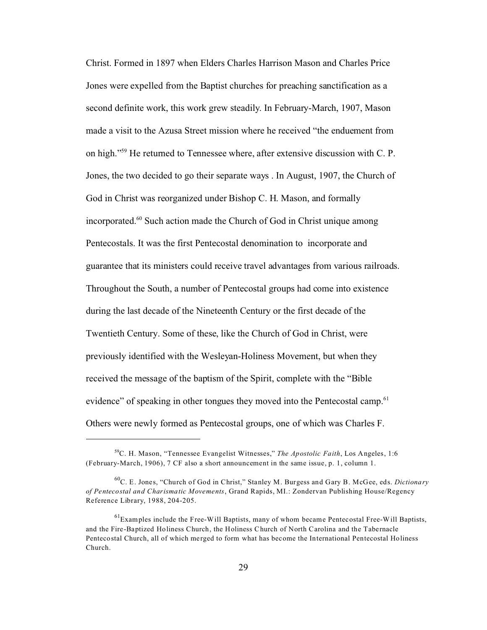Christ. Formed in 1897 when Elders Charles Harrison Mason and Charles Price Jones were expelled from the Baptist churches for preaching sanctification as a second definite work, this work grew steadily. In February-March, 1907, Mason made a visit to the Azusa Street mission where he received "the enduement from on high."<sup>59</sup> He returned to Tennessee where, after extensive discussion with C. P. Jones, the two decided to go their separate ways . In August, 1907, the Church of God in Christ was reorganized under Bishop C. H. Mason, and formally incorporated.<sup>60</sup> Such action made the Church of God in Christ unique among Pentecostals. It was the first Pentecostal denomination to incorporate and guarantee that its ministers could receive travel advantages from various railroads. Throughout the South, a number of Pentecostal groups had come into existence during the last decade of the Nineteenth Century or the first decade of the Twentieth Century. Some of these, like the Church of God in Christ, were previously identified with the Wesleyan-Holiness Movement, but when they received the message of the baptism of the Spirit, complete with the "Bible evidence" of speaking in other tongues they moved into the Pentecostal camp.<sup>61</sup> Others were newly formed as Pentecostal groups, one of which was Charles F.

<sup>59</sup>C. H. Mason, "Tennessee Evangelist Witnesses," *The Apostolic Faith*, Los Angeles, 1:6 (February-March, 1906), 7 CF also a short announcement in the same issue, p. 1, column 1.

<sup>60</sup>C. E. Jones, "Church of God in Christ," Stanley M. Burgess and Gary B. McGee, eds. *Dictionary of Pentecostal and Charismatic Movements*, Grand Rapids, MI.: Zondervan Publishing House/Regency Reference Library, 1988, 204-205.

 $<sup>61</sup>$ Examples include the Free-Will Baptists, many of whom became Pentecostal Free-Will Baptists,</sup> and the Fire-Baptized Holiness Church, the Holiness Church of North Carolina and the Tabernacle Pentecostal Church, all of which merged to form what has become the International Pentecostal Holiness Church.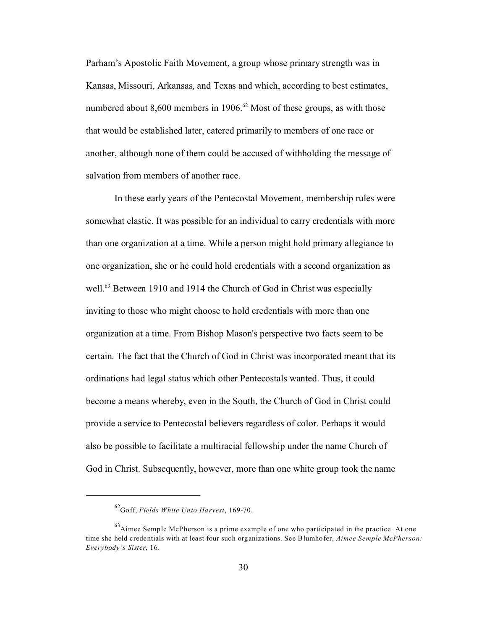Parham's Apostolic Faith Movement, a group whose primary strength was in Kansas, Missouri, Arkansas, and Texas and which, according to best estimates, numbered about 8,600 members in 1906.<sup>62</sup> Most of these groups, as with those that would be established later, catered primarily to members of one race or another, although none of them could be accused of withholding the message of salvation from members of another race.

In these early years of the Pentecostal Movement, membership rules were somewhat elastic. It was possible for an individual to carry credentials with more than one organization at a time. While a person might hold primary allegiance to one organization, she or he could hold credentials with a second organization as well.<sup>63</sup> Between 1910 and 1914 the Church of God in Christ was especially inviting to those who might choose to hold credentials with more than one organization at a time. From Bishop Mason's perspective two facts seem to be certain. The fact that the Church of God in Christ was incorporated meant that its ordinations had legal status which other Pentecostals wanted. Thus, it could become a means whereby, even in the South, the Church of God in Christ could provide a service to Pentecostal believers regardless of color. Perhaps it would also be possible to facilitate a multiracial fellowship under the name Church of God in Christ. Subsequently, however, more than one white group took the name

<sup>62</sup>Goff, *Fields White Unto Harvest*, 169-70.

 $^{63}$ Aimee Semple McPherson is a prime example of one who participated in the practice. At one time she held credentials with at least four such organizations. See Blumhofer, *Aimee Semple McPherson: Everybody's Sister*, 16.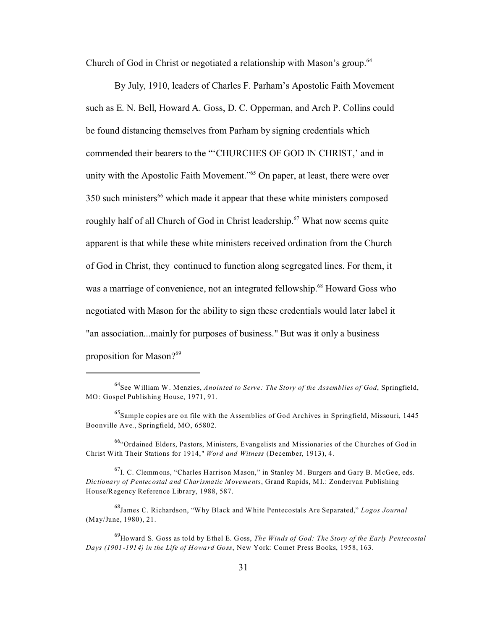Church of God in Christ or negotiated a relationship with Mason's group.<sup>64</sup>

By July, 1910, leaders of Charles F. Parham's Apostolic Faith Movement such as E. N. Bell, Howard A. Goss, D. C. Opperman, and Arch P. Collins could be found distancing themselves from Parham by signing credentials which commended their bearers to the "'CHURCHES OF GOD IN CHRIST,' and in unity with the Apostolic Faith Movement.<sup>"65</sup> On paper, at least, there were over 350 such ministers<sup>66</sup> which made it appear that these white ministers composed roughly half of all Church of God in Christ leadership.<sup>67</sup> What now seems quite apparent is that while these white ministers received ordination from the Church of God in Christ, they continued to function along segregated lines. For them, it was a marriage of convenience, not an integrated fellowship.<sup>68</sup> Howard Goss who negotiated with Mason for the ability to sign these credentials would later label it "an association...mainly for purposes of business." But was it only a business proposition for Mason?<sup>69</sup>

<sup>64</sup>See William W. Menzies, *Anointed to Serve: The Story of the Assemblies of God*, Springfield, MO: Gospel Publishing House, 1971, 91.

 $^{65}$ Sample copies are on file with the Assemblies of God Archives in Springfield, Missouri, 1445 Boonville Ave., Springfield, MO, 65802.

 $^{66}$ "Ordained Elders, Pastors, Ministers, Evangelists and Missionaries of the Churches of God in Christ With Their Stations for 1914," *Word and Witness* (December, 1913), 4.

 $^{67}$ I. C. Clemmons, "Charles Harrison Mason," in Stanley M. Burgers and Gary B. McGee, eds. *Dictionary of Pentecostal and Charismatic Movements*, Grand Rapids, MI.: Zondervan Publishing House/Regency Reference Library, 1988, 587.

<sup>68</sup>James C. Richardson, "Why Black and White Pentecostals Are Separated," *Logos Journal* (May/June, 1980), 21.

<sup>69</sup>Howard S. Goss as told by Ethel E. Goss, *The Winds of God: The Story of the Early Pentecostal Days (1901-1914) in the Life of Howard Goss*, New York: Comet Press Books, 1958, 163.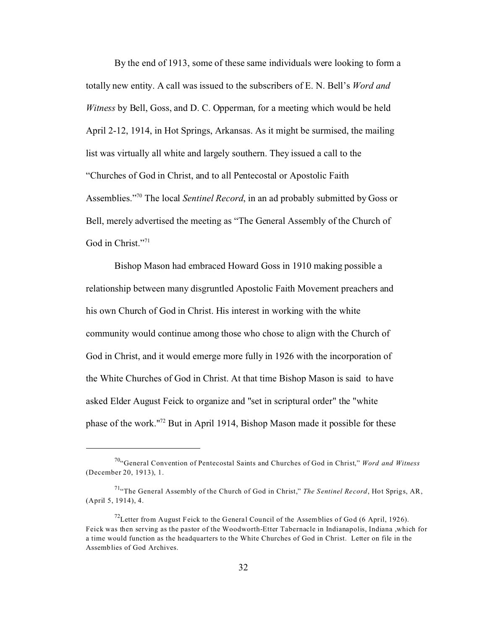By the end of 1913, some of these same individuals were looking to form a totally new entity. A call was issued to the subscribers of E. N. Bell's *Word and Witness* by Bell, Goss, and D. C. Opperman, for a meeting which would be held April 2-12, 1914, in Hot Springs, Arkansas. As it might be surmised, the mailing list was virtually all white and largely southern. They issued a call to the "Churches of God in Christ, and to all Pentecostal or Apostolic Faith Assemblies."<sup>70</sup> The local *Sentinel Record*, in an ad probably submitted by Goss or Bell, merely advertised the meeting as "The General Assembly of the Church of God in Christ."<sup>71</sup>

Bishop Mason had embraced Howard Goss in 1910 making possible a relationship between many disgruntled Apostolic Faith Movement preachers and his own Church of God in Christ. His interest in working with the white community would continue among those who chose to align with the Church of God in Christ, and it would emerge more fully in 1926 with the incorporation of the White Churches of God in Christ. At that time Bishop Mason is said to have asked Elder August Feick to organize and "set in scriptural order" the "white phase of the work."72 But in April 1914, Bishop Mason made it possible for these

<sup>70</sup>"General Convention of Pentecostal Saints and Churches of God in Christ," *Word and Witness* (December 20, 1913), 1.

<sup>&</sup>lt;sup>71</sup>"The General Assembly of the Church of God in Christ," *The Sentinel Record*, Hot Sprigs, AR, (April 5, 1914), 4.

<sup>&</sup>lt;sup>72</sup>Letter from August Feick to the General Council of the Assemblies of God (6 April, 1926). Feick was then serving as the pastor of the Woodworth-Etter Tabernacle in Indianapolis, Indiana ,which for a time would function as the headquarters to the White Churches of God in Christ. Letter on file in the Assemblies of God Archives.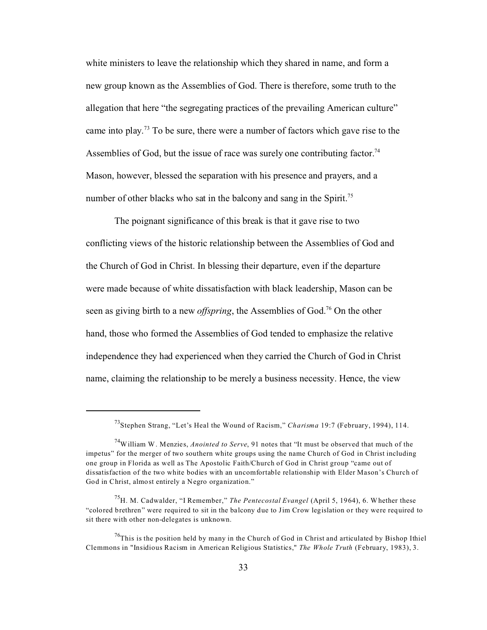white ministers to leave the relationship which they shared in name, and form a new group known as the Assemblies of God. There is therefore, some truth to the allegation that here "the segregating practices of the prevailing American culture" came into play.<sup>73</sup> To be sure, there were a number of factors which gave rise to the Assemblies of God, but the issue of race was surely one contributing factor.<sup>74</sup> Mason, however, blessed the separation with his presence and prayers, and a number of other blacks who sat in the balcony and sang in the Spirit.<sup>75</sup>

The poignant significance of this break is that it gave rise to two conflicting views of the historic relationship between the Assemblies of God and the Church of God in Christ. In blessing their departure, even if the departure were made because of white dissatisfaction with black leadership, Mason can be seen as giving birth to a new *offspring*, the Assemblies of God.<sup>76</sup> On the other hand, those who formed the Assemblies of God tended to emphasize the relative independence they had experienced when they carried the Church of God in Christ name, claiming the relationship to be merely a business necessity. Hence, the view

<sup>73</sup>Stephen Strang, "Let's Heal the Wound of Racism," *Charisma* 19:7 (February, 1994), 114.

<sup>74</sup>William W. Menzies, *Anointed to Serve*, 91 notes that "It must be observed that much of the impetus" for the merger of two southern white groups using the name Church of God in Christ including one group in Florida as well as The Apostolic Faith/Church of God in Christ group "came out of dissatisfaction of the two white bodies with an uncomfortable relationship with Elder Mason's Church of God in Christ, almost entirely a Negro organization."

<sup>75</sup>H. M. Cadwalder, "I Remember," *The Pentecostal Evangel* (April 5, 1964), 6. Whether these "colored brethren" were required to sit in the balcony due to Jim Crow legislation or they were required to sit there with other non-delegates is unknown.

 $^{76}$ This is the position held by many in the Church of God in Christ and articulated by Bishop Ithiel Clemmons in "Insidious Racism in American Religious Statistics," *The Whole Truth* (February, 1983), 3.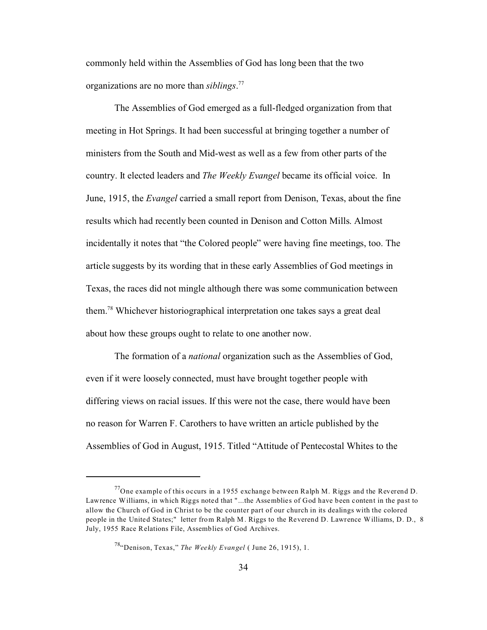commonly held within the Assemblies of God has long been that the two organizations are no more than *siblings*. 77

The Assemblies of God emerged as a full-fledged organization from that meeting in Hot Springs. It had been successful at bringing together a number of ministers from the South and Mid-west as well as a few from other parts of the country. It elected leaders and *The Weekly Evangel* became its official voice. In June, 1915, the *Evangel* carried a small report from Denison, Texas, about the fine results which had recently been counted in Denison and Cotton Mills. Almost incidentally it notes that "the Colored people" were having fine meetings, too. The article suggests by its wording that in these early Assemblies of God meetings in Texas, the races did not mingle although there was some communication between them.<sup>78</sup> Whichever historiographical interpretation one takes says a great deal about how these groups ought to relate to one another now.

The formation of a *national* organization such as the Assemblies of God, even if it were loosely connected, must have brought together people with differing views on racial issues. If this were not the case, there would have been no reason for Warren F. Carothers to have written an article published by the Assemblies of God in August, 1915. Titled "Attitude of Pentecostal Whites to the

<sup>&</sup>lt;sup>77</sup>One example of this occurs in a 1955 exchange between Ralph M. Riggs and the Reverend D. Lawrence Williams, in which Riggs noted that "...the Assemblies of God have been content in the past to allow the Church of God in Christ to be the counter part of our church in its dealings with the colored people in the United States;" letter from Ralph M. Riggs to the Reverend D. Lawrence Williams, D. D., 8 July, 1955 Race Relations File, Assemblies of God Archives.

<sup>78</sup>"Denison, Texas," *The Weekly Evangel* ( June 26, 1915), 1.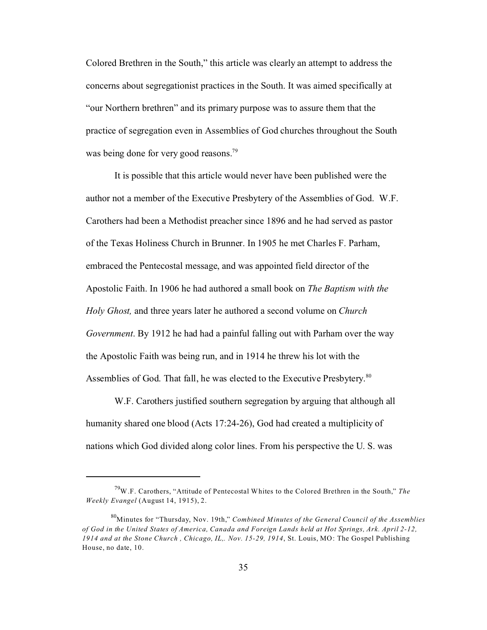Colored Brethren in the South," this article was clearly an attempt to address the concerns about segregationist practices in the South. It was aimed specifically at "our Northern brethren" and its primary purpose was to assure them that the practice of segregation even in Assemblies of God churches throughout the South was being done for very good reasons.<sup>79</sup>

It is possible that this article would never have been published were the author not a member of the Executive Presbytery of the Assemblies of God. W.F. Carothers had been a Methodist preacher since 1896 and he had served as pastor of the Texas Holiness Church in Brunner. In 1905 he met Charles F. Parham, embraced the Pentecostal message, and was appointed field director of the Apostolic Faith. In 1906 he had authored a small book on *The Baptism with the Holy Ghost,* and three years later he authored a second volume on *Church Government*. By 1912 he had had a painful falling out with Parham over the way the Apostolic Faith was being run, and in 1914 he threw his lot with the Assemblies of God. That fall, he was elected to the Executive Presbytery.<sup>80</sup>

W.F. Carothers justified southern segregation by arguing that although all humanity shared one blood (Acts 17:24-26), God had created a multiplicity of nations which God divided along color lines. From his perspective the U. S. was

<sup>79</sup>W.F. Carothers, "Attitude of Pentecostal Whites to the Colored Brethren in the South," *The Weekly Evangel* (August 14, 1915), 2.

<sup>80</sup>Minutes for "Thursday, Nov. 19th," *Combined Minutes of the General Council of the Assemblies of God in the United States of America, Canada and Foreign Lands held at Hot Springs, Ark. April 2-12, 1914 and at the Stone Church , Chicago, IL,. Nov. 15-29, 1914*, St. Louis, MO: The Gospel Publishing House, no date, 10.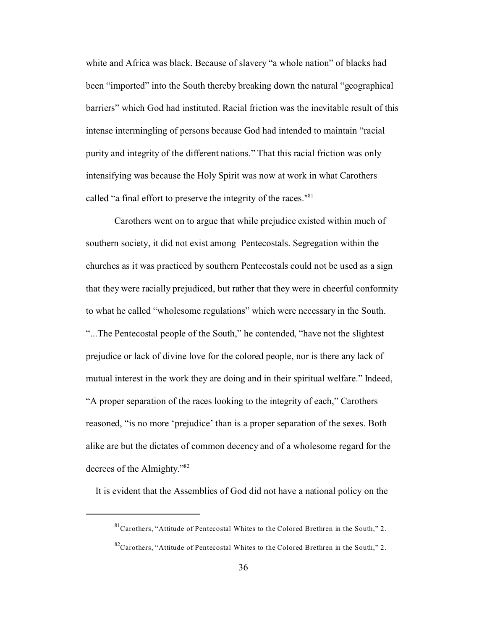white and Africa was black. Because of slavery "a whole nation" of blacks had been "imported" into the South thereby breaking down the natural "geographical barriers" which God had instituted. Racial friction was the inevitable result of this intense intermingling of persons because God had intended to maintain "racial purity and integrity of the different nations." That this racial friction was only intensifying was because the Holy Spirit was now at work in what Carothers called "a final effort to preserve the integrity of the races."<sup>81</sup>

Carothers went on to argue that while prejudice existed within much of southern society, it did not exist among Pentecostals. Segregation within the churches as it was practiced by southern Pentecostals could not be used as a sign that they were racially prejudiced, but rather that they were in cheerful conformity to what he called "wholesome regulations" which were necessary in the South. "...The Pentecostal people of the South," he contended, "have not the slightest prejudice or lack of divine love for the colored people, nor is there any lack of mutual interest in the work they are doing and in their spiritual welfare." Indeed, "A proper separation of the races looking to the integrity of each," Carothers reasoned, "is no more 'prejudice' than is a proper separation of the sexes. Both alike are but the dictates of common decency and of a wholesome regard for the decrees of the Almighty."<sup>82</sup>

It is evident that the Assemblies of God did not have a national policy on the

 ${}^{81}$ Carothers, "Attitude of Pentecostal Whites to the Colored Brethren in the South," 2.

 $82^{\circ}$ Carothers, "Attitude of Pentecostal Whites to the Colored Brethren in the South," 2.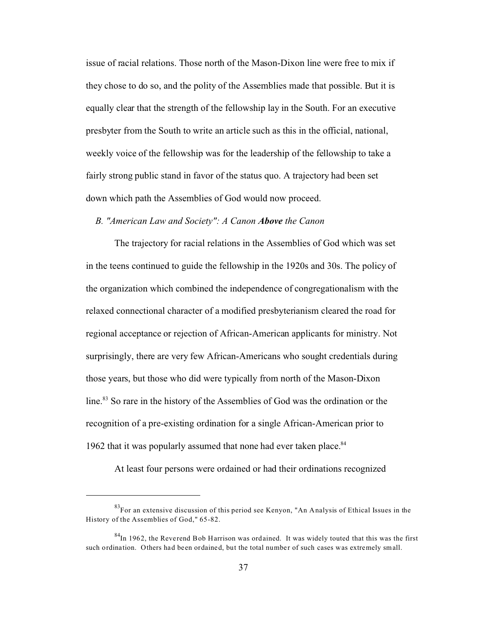issue of racial relations. Those north of the Mason-Dixon line were free to mix if they chose to do so, and the polity of the Assemblies made that possible. But it is equally clear that the strength of the fellowship lay in the South. For an executive presbyter from the South to write an article such as this in the official, national, weekly voice of the fellowship was for the leadership of the fellowship to take a fairly strong public stand in favor of the status quo. A trajectory had been set down which path the Assemblies of God would now proceed.

## *B. "American Law and Society": A Canon Above the Canon*

The trajectory for racial relations in the Assemblies of God which was set in the teens continued to guide the fellowship in the 1920s and 30s. The policy of the organization which combined the independence of congregationalism with the relaxed connectional character of a modified presbyterianism cleared the road for regional acceptance or rejection of African-American applicants for ministry. Not surprisingly, there are very few African-Americans who sought credentials during those years, but those who did were typically from north of the Mason-Dixon line.<sup>83</sup> So rare in the history of the Assemblies of God was the ordination or the recognition of a pre-existing ordination for a single African-American prior to 1962 that it was popularly assumed that none had ever taken place. $84$ 

At least four persons were ordained or had their ordinations recognized

 $83$ For an extensive discussion of this period see Kenyon, "An Analysis of Ethical Issues in the History of the Assemblies of God," 65-82.

 $84$ In 1962, the Reverend Bob Harrison was ordained. It was widely touted that this was the first such ordination. Others had been ordained, but the total number of such cases was extremely small.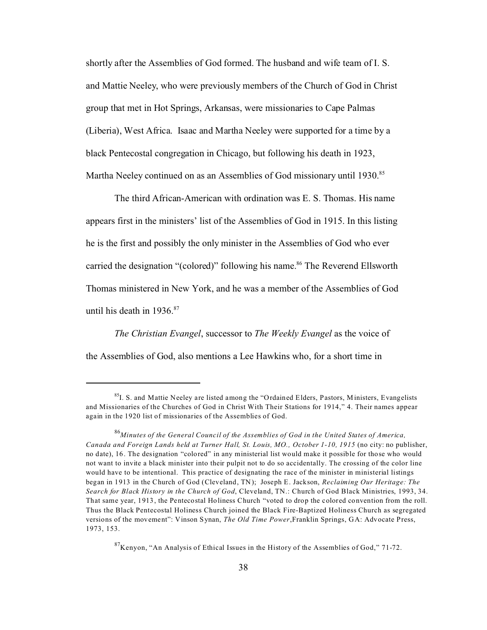shortly after the Assemblies of God formed. The husband and wife team of I. S. and Mattie Neeley, who were previously members of the Church of God in Christ group that met in Hot Springs, Arkansas, were missionaries to Cape Palmas (Liberia), West Africa. Isaac and Martha Neeley were supported for a time by a black Pentecostal congregation in Chicago, but following his death in 1923, Martha Neeley continued on as an Assemblies of God missionary until 1930.<sup>85</sup>

The third African-American with ordination was E. S. Thomas. His name appears first in the ministers' list of the Assemblies of God in 1915. In this listing he is the first and possibly the only minister in the Assemblies of God who ever carried the designation "(colored)" following his name.<sup>86</sup> The Reverend Ellsworth Thomas ministered in New York, and he was a member of the Assemblies of God until his death in  $1936$ .<sup>87</sup>

*The Christian Evangel*, successor to *The Weekly Evangel* as the voice of the Assemblies of God, also mentions a Lee Hawkins who, for a short time in

 $87$ Kenyon, "An Analysis of Ethical Issues in the History of the Assemblies of God," 71-72.

 ${}^{85}I$ . S. and Mattie Neeley are listed among the "Ordained Elders, Pastors, Ministers, Evangelists and Missionaries of the Churches of God in Christ With Their Stations for 1914," 4. Their names appear again in the 1920 list of missionaries of the Assemblies of God.

<sup>86</sup>*Minutes of the General Council of the Assemblies of God in the United States of America, Canada and Foreign Lands held at Turner Hall, St. Louis, MO., October 1-10, 1915* (no city: no publisher, no date), 16. The designation "colored" in any ministerial list would make it possible for those who would not want to invite a black minister into their pulpit not to do so accidentally. The crossing of the color line would have to be intentional. This practice of designating the race of the minister in ministerial listings began in 1913 in the Church of God (Cleveland, TN); Joseph E. Jackson, *Reclaiming Our Heritage: The Search for Black History in the Church of God*, Cleveland, TN.: Church of God Black Ministries, 1993, 34. That same year, 1913, the Pentecostal Holiness Church "voted to drop the colored convention from the roll. Thus the Black Pentecostal Holiness Church joined the Black Fire-Baptized Holiness Church as segregated versions of the movement": Vinson Synan, *The Old Time Power*,Franklin Springs, GA: Advocate Press, 1973, 153.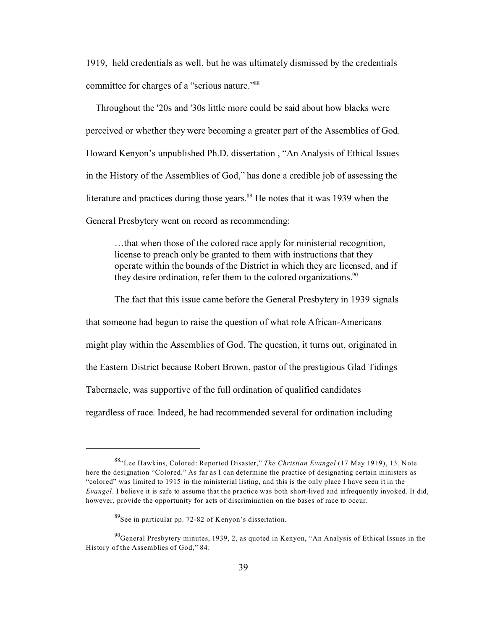1919, held credentials as well, but he was ultimately dismissed by the credentials committee for charges of a "serious nature."<sup>88</sup>

 Throughout the '20s and '30s little more could be said about how blacks were perceived or whether they were becoming a greater part of the Assemblies of God. Howard Kenyon's unpublished Ph.D. dissertation , "An Analysis of Ethical Issues in the History of the Assemblies of God," has done a credible job of assessing the literature and practices during those years. $89$  He notes that it was 1939 when the General Presbytery went on record as recommending:

…that when those of the colored race apply for ministerial recognition, license to preach only be granted to them with instructions that they operate within the bounds of the District in which they are licensed, and if they desire ordination, refer them to the colored organizations.<sup>90</sup>

The fact that this issue came before the General Presbytery in 1939 signals that someone had begun to raise the question of what role African-Americans might play within the Assemblies of God. The question, it turns out, originated in the Eastern District because Robert Brown, pastor of the prestigious Glad Tidings Tabernacle, was supportive of the full ordination of qualified candidates regardless of race. Indeed, he had recommended several for ordination including

<sup>88</sup>"Lee Hawkins, Colored: Reported Disaster," *The Christian Evangel* (17 May 1919), 13. Note here the designation "Colored." As far as I can determine the practice of designating certain ministers as "colored" was limited to 1915 in the ministerial listing, and this is the only place I have seen it in the *Evangel*. I believe it is safe to assume that the practice was both short-lived and infrequently invoked. It did, however, provide the opportunity for acts of discrimination on the bases of race to occur.

<sup>89</sup>See in particular pp. 72-82 of Kenyon's dissertation.

<sup>&</sup>lt;sup>90</sup>General Presbytery minutes, 1939, 2, as quoted in Kenyon, "An Analysis of Ethical Issues in the History of the Assemblies of God," 84.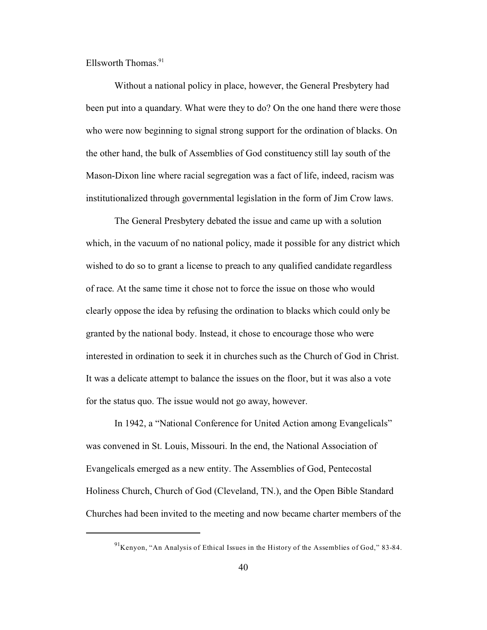Ellsworth Thomas. $91$ 

Without a national policy in place, however, the General Presbytery had been put into a quandary. What were they to do? On the one hand there were those who were now beginning to signal strong support for the ordination of blacks. On the other hand, the bulk of Assemblies of God constituency still lay south of the Mason-Dixon line where racial segregation was a fact of life, indeed, racism was institutionalized through governmental legislation in the form of Jim Crow laws.

The General Presbytery debated the issue and came up with a solution which, in the vacuum of no national policy, made it possible for any district which wished to do so to grant a license to preach to any qualified candidate regardless of race. At the same time it chose not to force the issue on those who would clearly oppose the idea by refusing the ordination to blacks which could only be granted by the national body. Instead, it chose to encourage those who were interested in ordination to seek it in churches such as the Church of God in Christ. It was a delicate attempt to balance the issues on the floor, but it was also a vote for the status quo. The issue would not go away, however.

In 1942, a "National Conference for United Action among Evangelicals" was convened in St. Louis, Missouri. In the end, the National Association of Evangelicals emerged as a new entity. The Assemblies of God, Pentecostal Holiness Church, Church of God (Cleveland, TN.), and the Open Bible Standard Churches had been invited to the meeting and now became charter members of the

 $91$ Kenyon, "An Analysis of Ethical Issues in the History of the Assemblies of God," 83-84.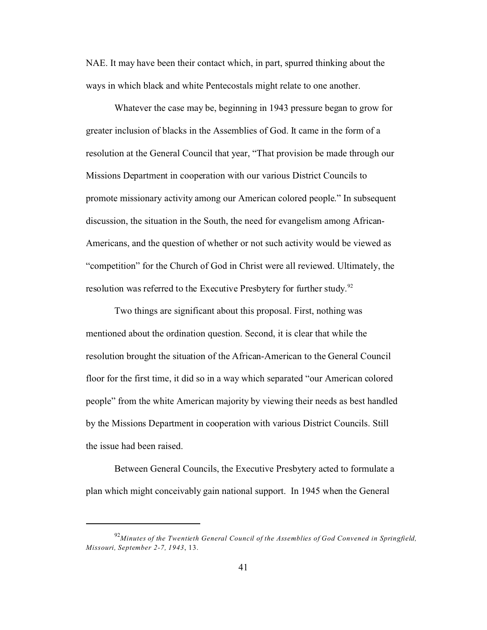NAE. It may have been their contact which, in part, spurred thinking about the ways in which black and white Pentecostals might relate to one another.

Whatever the case may be, beginning in 1943 pressure began to grow for greater inclusion of blacks in the Assemblies of God. It came in the form of a resolution at the General Council that year, "That provision be made through our Missions Department in cooperation with our various District Councils to promote missionary activity among our American colored people." In subsequent discussion, the situation in the South, the need for evangelism among African-Americans, and the question of whether or not such activity would be viewed as "competition" for the Church of God in Christ were all reviewed. Ultimately, the resolution was referred to the Executive Presbytery for further study.<sup>92</sup>

Two things are significant about this proposal. First, nothing was mentioned about the ordination question. Second, it is clear that while the resolution brought the situation of the African-American to the General Council floor for the first time, it did so in a way which separated "our American colored people" from the white American majority by viewing their needs as best handled by the Missions Department in cooperation with various District Councils. Still the issue had been raised.

Between General Councils, the Executive Presbytery acted to formulate a plan which might conceivably gain national support. In 1945 when the General

<sup>92</sup>*Minutes of the Twentieth General Council of the Assemblies of God Convened in Springfield, Missouri, September 2-7, 1943*, 13.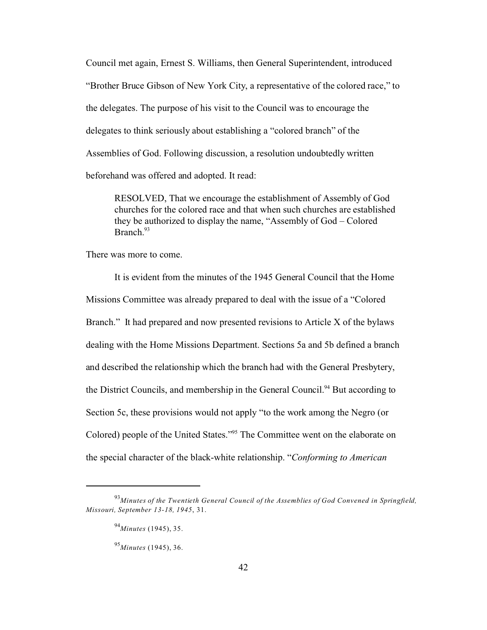Council met again, Ernest S. Williams, then General Superintendent, introduced "Brother Bruce Gibson of New York City, a representative of the colored race," to the delegates. The purpose of his visit to the Council was to encourage the delegates to think seriously about establishing a "colored branch" of the Assemblies of God. Following discussion, a resolution undoubtedly written beforehand was offered and adopted. It read:

RESOLVED, That we encourage the establishment of Assembly of God churches for the colored race and that when such churches are established they be authorized to display the name, "Assembly of God – Colored Branch<sup>93</sup>

There was more to come.

It is evident from the minutes of the 1945 General Council that the Home Missions Committee was already prepared to deal with the issue of a "Colored Branch." It had prepared and now presented revisions to Article X of the bylaws dealing with the Home Missions Department. Sections 5a and 5b defined a branch and described the relationship which the branch had with the General Presbytery, the District Councils, and membership in the General Council.<sup>94</sup> But according to Section 5c, these provisions would not apply "to the work among the Negro (or Colored) people of the United States."<sup>95</sup> The Committee went on the elaborate on the special character of the black-white relationship. "*Conforming to American*

<sup>93</sup>*Minutes of the Twentieth General Council of the Assemblies of God Convened in Springfield, Missouri, September 13-18, 1945*, 31.

<sup>94</sup>*Minutes* (1945), 35.

<sup>95</sup>*Minutes* (1945), 36.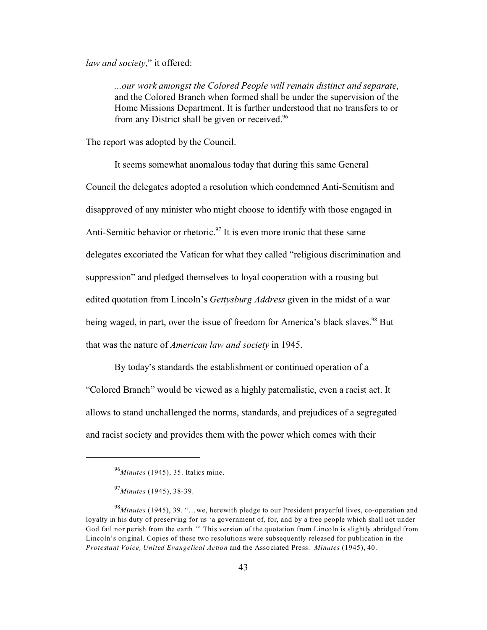*law and society*," it offered:

*...our work amongst the Colored People will remain distinct and separate*, and the Colored Branch when formed shall be under the supervision of the Home Missions Department. It is further understood that no transfers to or from any District shall be given or received.<sup>96</sup>

The report was adopted by the Council.

It seems somewhat anomalous today that during this same General Council the delegates adopted a resolution which condemned Anti-Semitism and disapproved of any minister who might choose to identify with those engaged in Anti-Semitic behavior or rhetoric.<sup>97</sup> It is even more ironic that these same delegates excoriated the Vatican for what they called "religious discrimination and suppression" and pledged themselves to loyal cooperation with a rousing but edited quotation from Lincoln's *Gettysburg Address* given in the midst of a war being waged, in part, over the issue of freedom for America's black slaves.<sup>98</sup> But that was the nature of *American law and society* in 1945.

By today's standards the establishment or continued operation of a "Colored Branch" would be viewed as a highly paternalistic, even a racist act. It allows to stand unchallenged the norms, standards, and prejudices of a segregated and racist society and provides them with the power which comes with their

<sup>96</sup>*Minutes* (1945), 35. Italics mine.

<sup>97</sup>*Minutes* (1945), 38-39.

<sup>98</sup>*Minutes* (1945), 39. "…we, herewith pledge to our President prayerful lives, co-operation and loyalty in his duty of preserving for us 'a government of, for, and by a free people which shall not under God fail nor perish from the earth.'" This version of the quotation from Lincoln is slightly abridged from Lincoln's original. Copies of these two resolutions were subsequently released for publication in the *Protestant Voice, United Evangelical Action* and the Associated Press. *Minutes* (1945), 40.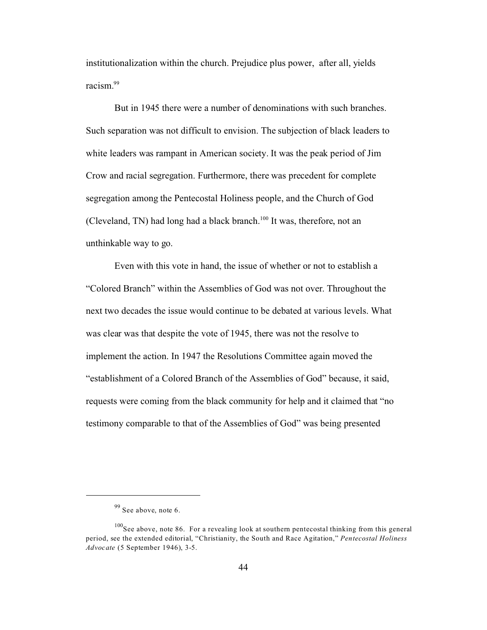institutionalization within the church. Prejudice plus power, after all, yields racism.<sup>99</sup>

But in 1945 there were a number of denominations with such branches. Such separation was not difficult to envision. The subjection of black leaders to white leaders was rampant in American society. It was the peak period of Jim Crow and racial segregation. Furthermore, there was precedent for complete segregation among the Pentecostal Holiness people, and the Church of God (Cleveland, TN) had long had a black branch.<sup>100</sup> It was, therefore, not an unthinkable way to go.

Even with this vote in hand, the issue of whether or not to establish a "Colored Branch" within the Assemblies of God was not over. Throughout the next two decades the issue would continue to be debated at various levels. What was clear was that despite the vote of 1945, there was not the resolve to implement the action. In 1947 the Resolutions Committee again moved the "establishment of a Colored Branch of the Assemblies of God" because, it said, requests were coming from the black community for help and it claimed that "no testimony comparable to that of the Assemblies of God" was being presented

<sup>99</sup> See above, note 6.

 $100$ See above, note 86. For a revealing look at southern pentecostal thinking from this general period, see the extended editorial, "Christianity, the South and Race Agitation," *Pentecostal Holiness Advocate* (5 September 1946), 3-5.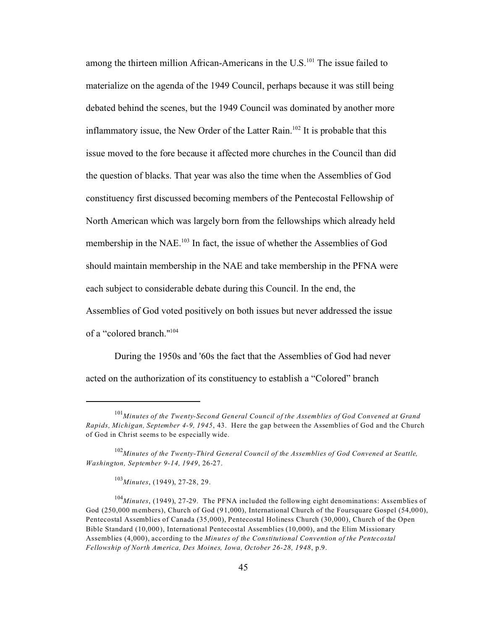among the thirteen million African-Americans in the U.S.<sup>101</sup> The issue failed to materialize on the agenda of the 1949 Council, perhaps because it was still being debated behind the scenes, but the 1949 Council was dominated by another more inflammatory issue, the New Order of the Latter Rain.<sup>102</sup> It is probable that this issue moved to the fore because it affected more churches in the Council than did the question of blacks. That year was also the time when the Assemblies of God constituency first discussed becoming members of the Pentecostal Fellowship of North American which was largely born from the fellowships which already held membership in the NAE.<sup>103</sup> In fact, the issue of whether the Assemblies of God should maintain membership in the NAE and take membership in the PFNA were each subject to considerable debate during this Council. In the end, the Assemblies of God voted positively on both issues but never addressed the issue of a "colored branch."<sup>104</sup>

During the 1950s and '60s the fact that the Assemblies of God had never acted on the authorization of its constituency to establish a "Colored" branch

<sup>101</sup>*Minutes of the Twenty-Second General Council of the Assemblies of God Convened at Grand Rapids, Michigan, September 4-9, 1945*, 43. Here the gap between the Assemblies of God and the Church of God in Christ seems to be especially wide.

<sup>102</sup>*Minutes of the Twenty-Third General Council of the Assemblies of God Convened at Seattle, Washington, September 9-14, 1949*, 26-27.

<sup>103</sup>*Minutes*, (1949), 27-28, 29.

<sup>104</sup>*Minutes*, (1949), 27-29. The PFNA included the following eight denominations: Assemblies of God (250,000 members), Church of God (91,000), International Church of the Foursquare Gospel (54,000), Pentecostal Assemblies of Canada (35,000), Pentecostal Holiness Church (30,000), Church of the Open Bible Standard (10,000), International Pentecostal Assemblies (10,000), and the Elim Missionary Assemblies (4,000), according to the *Minutes of the Constitutional Convention of the Pentecostal Fellowship of North America, Des Moines, Iowa, October 26-28, 1948*, p.9.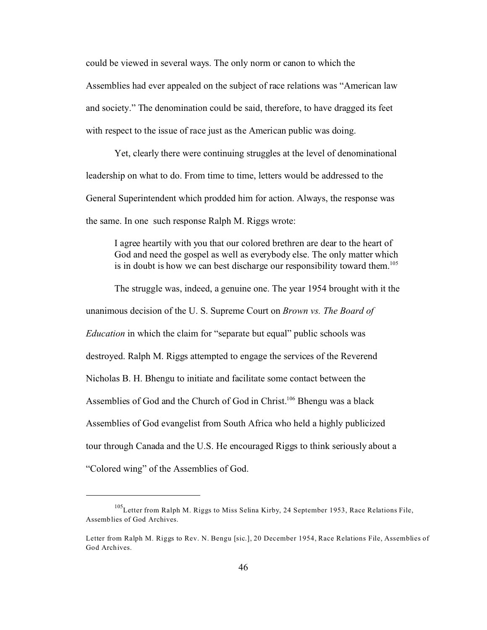could be viewed in several ways. The only norm or canon to which the Assemblies had ever appealed on the subject of race relations was "American law and society." The denomination could be said, therefore, to have dragged its feet with respect to the issue of race just as the American public was doing.

Yet, clearly there were continuing struggles at the level of denominational leadership on what to do. From time to time, letters would be addressed to the General Superintendent which prodded him for action. Always, the response was the same. In one such response Ralph M. Riggs wrote:

I agree heartily with you that our colored brethren are dear to the heart of God and need the gospel as well as everybody else. The only matter which is in doubt is how we can best discharge our responsibility toward them.<sup>105</sup>

The struggle was, indeed, a genuine one. The year 1954 brought with it the unanimous decision of the U. S. Supreme Court on *Brown vs. The Board of Education* in which the claim for "separate but equal" public schools was destroyed. Ralph M. Riggs attempted to engage the services of the Reverend Nicholas B. H. Bhengu to initiate and facilitate some contact between the Assemblies of God and the Church of God in Christ.<sup>106</sup> Bhengu was a black Assemblies of God evangelist from South Africa who held a highly publicized tour through Canada and the U.S. He encouraged Riggs to think seriously about a "Colored wing" of the Assemblies of God.

<sup>105</sup>Letter from Ralph M. Riggs to Miss Selina Kirby, 24 September 1953, Race Relations File, Assemblies of God Archives.

Letter from Ralph M. Riggs to Rev. N. Bengu [sic.], 20 December 1954, Race Relations File, Assemblies of God Archives.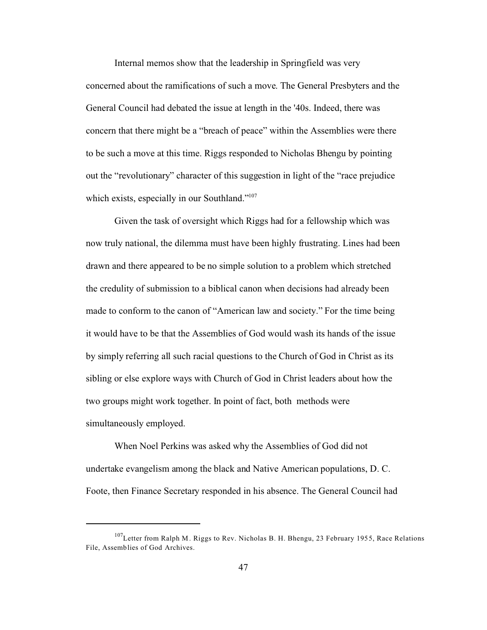Internal memos show that the leadership in Springfield was very concerned about the ramifications of such a move. The General Presbyters and the General Council had debated the issue at length in the '40s. Indeed, there was concern that there might be a "breach of peace" within the Assemblies were there to be such a move at this time. Riggs responded to Nicholas Bhengu by pointing out the "revolutionary" character of this suggestion in light of the "race prejudice which exists, especially in our Southland."<sup>107</sup>

Given the task of oversight which Riggs had for a fellowship which was now truly national, the dilemma must have been highly frustrating. Lines had been drawn and there appeared to be no simple solution to a problem which stretched the credulity of submission to a biblical canon when decisions had already been made to conform to the canon of "American law and society." For the time being it would have to be that the Assemblies of God would wash its hands of the issue by simply referring all such racial questions to the Church of God in Christ as its sibling or else explore ways with Church of God in Christ leaders about how the two groups might work together. In point of fact, both methods were simultaneously employed.

When Noel Perkins was asked why the Assemblies of God did not undertake evangelism among the black and Native American populations, D. C. Foote, then Finance Secretary responded in his absence. The General Council had

<sup>&</sup>lt;sup>107</sup>Letter from Ralph M. Riggs to Rev. Nicholas B. H. Bhengu, 23 February 1955, Race Relations File, Assemblies of God Archives.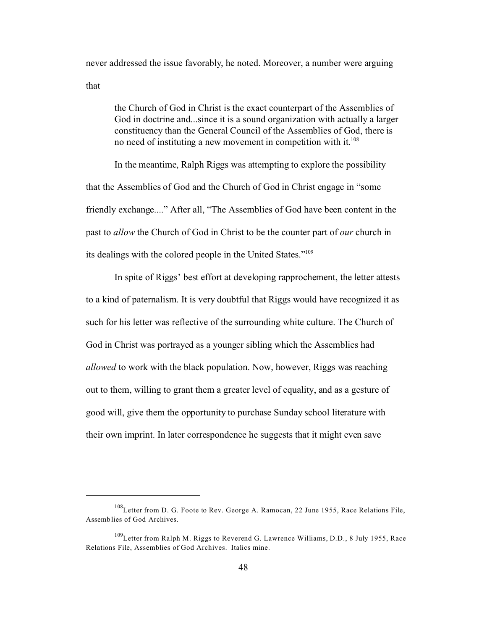never addressed the issue favorably, he noted. Moreover, a number were arguing that

the Church of God in Christ is the exact counterpart of the Assemblies of God in doctrine and...since it is a sound organization with actually a larger constituency than the General Council of the Assemblies of God, there is no need of instituting a new movement in competition with it. 108

In the meantime, Ralph Riggs was attempting to explore the possibility that the Assemblies of God and the Church of God in Christ engage in "some friendly exchange...." After all, "The Assemblies of God have been content in the past to *allow* the Church of God in Christ to be the counter part of *our* church in its dealings with the colored people in the United States."<sup>109</sup>

In spite of Riggs' best effort at developing rapprochement, the letter attests to a kind of paternalism. It is very doubtful that Riggs would have recognized it as such for his letter was reflective of the surrounding white culture. The Church of God in Christ was portrayed as a younger sibling which the Assemblies had *allowed* to work with the black population. Now, however, Riggs was reaching out to them, willing to grant them a greater level of equality, and as a gesture of good will, give them the opportunity to purchase Sunday school literature with their own imprint. In later correspondence he suggests that it might even save

<sup>108</sup>Letter from D. G. Foote to Rev. George A. Ramocan, 22 June 1955, Race Relations File, Assemblies of God Archives.

<sup>&</sup>lt;sup>109</sup>Letter from Ralph M. Riggs to Reverend G. Lawrence Williams, D.D., 8 July 1955, Race Relations File, Assemblies of God Archives. Italics mine.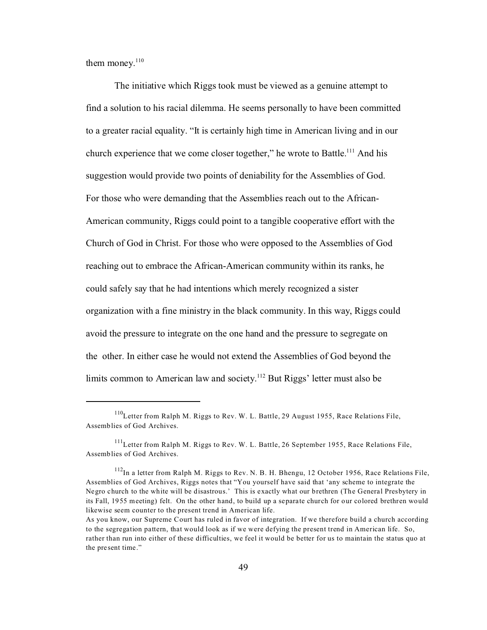them money. $110$ 

The initiative which Riggs took must be viewed as a genuine attempt to find a solution to his racial dilemma. He seems personally to have been committed to a greater racial equality. "It is certainly high time in American living and in our church experience that we come closer together," he wrote to Battle.<sup>111</sup> And his suggestion would provide two points of deniability for the Assemblies of God. For those who were demanding that the Assemblies reach out to the African-American community, Riggs could point to a tangible cooperative effort with the Church of God in Christ. For those who were opposed to the Assemblies of God reaching out to embrace the African-American community within its ranks, he could safely say that he had intentions which merely recognized a sister organization with a fine ministry in the black community. In this way, Riggs could avoid the pressure to integrate on the one hand and the pressure to segregate on the other. In either case he would not extend the Assemblies of God beyond the limits common to American law and society.<sup>112</sup> But Riggs' letter must also be

<sup>110</sup>Letter from Ralph M. Riggs to Rev. W. L. Battle, 29 August 1955, Race Relations File, Assemblies of God Archives.

 $111$ Letter from Ralph M. Riggs to Rev. W. L. Battle, 26 September 1955, Race Relations File, Assemblies of God Archives.

 $112$ In a letter from Ralph M. Riggs to Rev. N. B. H. Bhengu, 12 October 1956, Race Relations File, Assemblies of God Archives, Riggs notes that "You yourself have said that 'any scheme to integrate the Negro church to the white will be disastrous.' This is exactly what our brethren (The General Presbytery in its Fall, 1955 meeting) felt. On the other hand, to build up a separate church for our colored brethren would likewise seem counter to the present trend in American life.

As you know, our Supreme Court has ruled in favor of integration. If we therefore build a church according to the segregation pattern, that would look as if we were defying the present trend in American life. So, rather than run into either of these difficulties, we feel it would be better for us to maintain the status quo at the present time."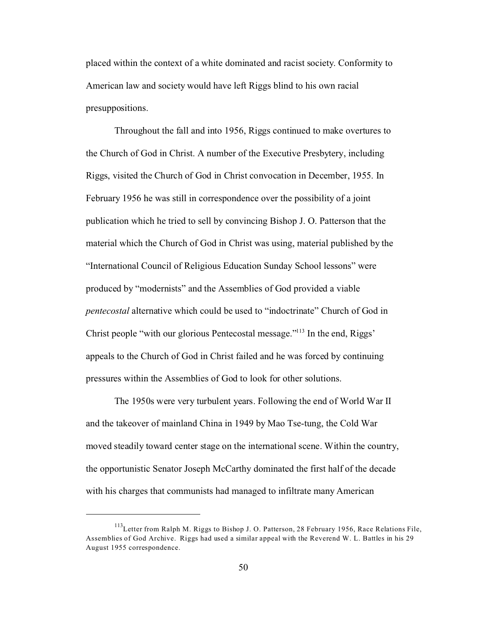placed within the context of a white dominated and racist society. Conformity to American law and society would have left Riggs blind to his own racial presuppositions.

Throughout the fall and into 1956, Riggs continued to make overtures to the Church of God in Christ. A number of the Executive Presbytery, including Riggs, visited the Church of God in Christ convocation in December, 1955. In February 1956 he was still in correspondence over the possibility of a joint publication which he tried to sell by convincing Bishop J. O. Patterson that the material which the Church of God in Christ was using, material published by the "International Council of Religious Education Sunday School lessons" were produced by "modernists" and the Assemblies of God provided a viable *pentecostal* alternative which could be used to "indoctrinate" Church of God in Christ people "with our glorious Pentecostal message."<sup>113</sup> In the end, Riggs' appeals to the Church of God in Christ failed and he was forced by continuing pressures within the Assemblies of God to look for other solutions.

The 1950s were very turbulent years. Following the end of World War II and the takeover of mainland China in 1949 by Mao Tse-tung, the Cold War moved steadily toward center stage on the international scene. Within the country, the opportunistic Senator Joseph McCarthy dominated the first half of the decade with his charges that communists had managed to infiltrate many American

<sup>&</sup>lt;sup>113</sup>Letter from Ralph M. Riggs to Bishop J. O. Patterson, 28 February 1956, Race Relations File, Assemblies of God Archive. Riggs had used a similar appeal with the Reverend W. L. Battles in his 29 August 1955 correspondence.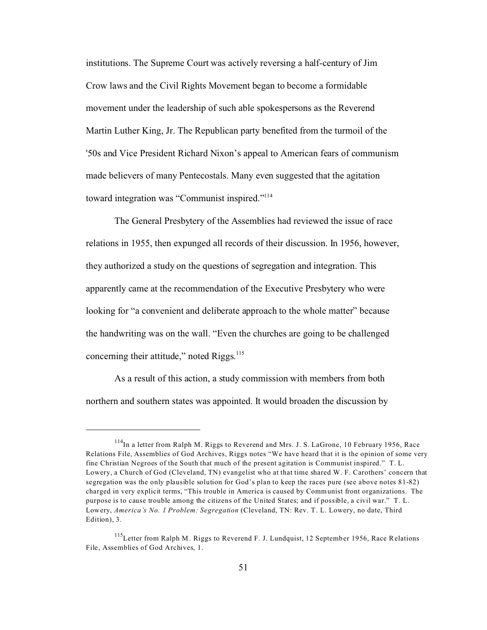institutions. The Supreme Court was actively reversing a half-century of Jim Crow laws and the Civil Rights Movement began to become a formidable movement under the leadership of such able spokespersons as the Reverend Martin Luther King, Jr. The Republican party benefited from the turmoil of the '50s and Vice President Richard Nixon's appeal to American fears of communism made believers of many Pentecostals. Many even suggested that the agitation toward integration was "Communist inspired."<sup>114</sup>

The General Presbytery of the Assemblies had reviewed the issue of race relations in 1955, then expunged all records of their discussion. In 1956, however, they authorized a study on the questions of segregation and integration. This apparently came at the recommendation of the Executive Presbytery who were looking for "a convenient and deliberate approach to the whole matter" because the handwriting was on the wall. "Even the churches are going to be challenged concerning their attitude," noted Riggs.<sup>115</sup>

As a result of this action, a study commission with members from both northern and southern states was appointed. It would broaden the discussion by

 $114$ In a letter from Ralph M. Riggs to Reverend and Mrs. J. S. LaGrone, 10 February 1956, Race Relations File, Assemblies of God Archives, Riggs notes "We have heard that it is the opinion of some very fine Christian Negroes of the South that much of the present agitation is Communist inspired." T. L. Lowery, a Church of God (Cleveland, TN) evangelist who at that time shared W. F. Carothers' concern that segregation was the only plausible solution for God's plan to keep the races pure (see above notes 81-82) charged in very explicit terms, "This trouble in America is caused by Communist front organizations. The purpose is to cause trouble among the citizens of the United States; and if possible, a civil war." T. L. Lowery, *America's No. 1 Problem: Segregation* (Cleveland, TN: Rev. T. L. Lowery, no date, Third Edition), 3.

<sup>&</sup>lt;sup>115</sup>Letter from Ralph M. Riggs to Reverend F. J. Lundquist, 12 September 1956, Race Relations File, Assemblies of God Archives, 1.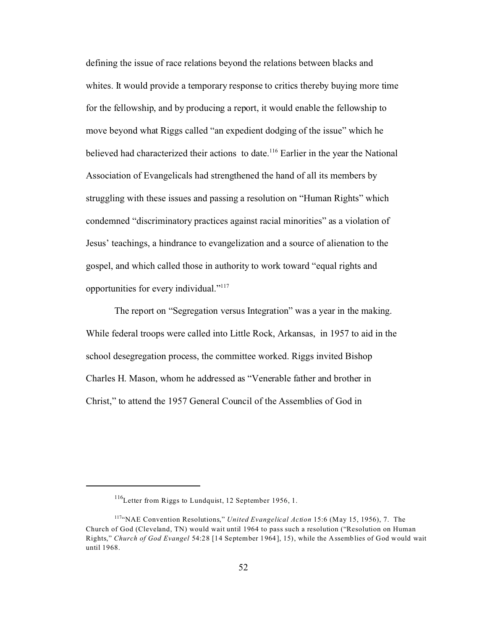defining the issue of race relations beyond the relations between blacks and whites. It would provide a temporary response to critics thereby buying more time for the fellowship, and by producing a report, it would enable the fellowship to move beyond what Riggs called "an expedient dodging of the issue" which he believed had characterized their actions to date.<sup>116</sup> Earlier in the year the National Association of Evangelicals had strengthened the hand of all its members by struggling with these issues and passing a resolution on "Human Rights" which condemned "discriminatory practices against racial minorities" as a violation of Jesus' teachings, a hindrance to evangelization and a source of alienation to the gospel, and which called those in authority to work toward "equal rights and opportunities for every individual."<sup>117</sup>

The report on "Segregation versus Integration" was a year in the making. While federal troops were called into Little Rock, Arkansas, in 1957 to aid in the school desegregation process, the committee worked. Riggs invited Bishop Charles H. Mason, whom he addressed as "Venerable father and brother in Christ," to attend the 1957 General Council of the Assemblies of God in

<sup>116</sup>Letter from Riggs to Lundquist, 12 September 1956, 1.

<sup>117</sup>"NAE Convention Resolutions," *United Evangelical Action* 15:6 (May 15, 1956), 7. The Church of God (Cleveland, TN) would wait until 1964 to pass such a resolution ("Resolution on Human Rights," *Church of God Evangel* 54:28 [14 September 1964], 15), while the Assemblies of God would wait until 1968.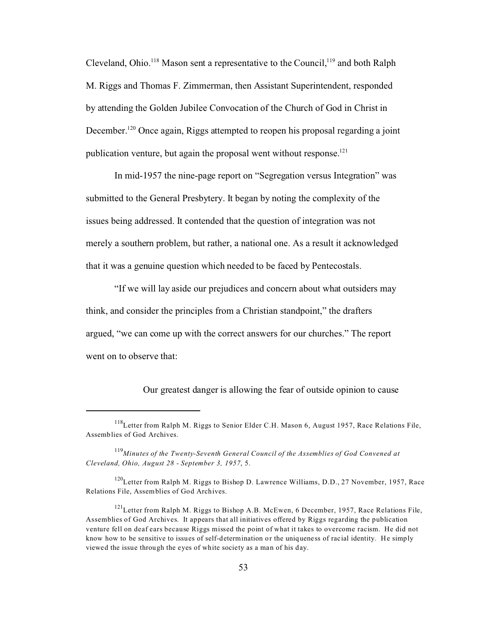Cleveland, Ohio.<sup>118</sup> Mason sent a representative to the Council,<sup>119</sup> and both Ralph M. Riggs and Thomas F. Zimmerman, then Assistant Superintendent, responded by attending the Golden Jubilee Convocation of the Church of God in Christ in December.<sup>120</sup> Once again, Riggs attempted to reopen his proposal regarding a joint publication venture, but again the proposal went without response.<sup>121</sup>

In mid-1957 the nine-page report on "Segregation versus Integration" was submitted to the General Presbytery. It began by noting the complexity of the issues being addressed. It contended that the question of integration was not merely a southern problem, but rather, a national one. As a result it acknowledged that it was a genuine question which needed to be faced by Pentecostals.

"If we will lay aside our prejudices and concern about what outsiders may think, and consider the principles from a Christian standpoint," the drafters argued, "we can come up with the correct answers for our churches." The report went on to observe that:

Our greatest danger is allowing the fear of outside opinion to cause

<sup>&</sup>lt;sup>118</sup>Letter from Ralph M. Riggs to Senior Elder C.H. Mason 6, August 1957, Race Relations File, Assemblies of God Archives.

<sup>119</sup>*Minutes of the Twenty-Seventh General Council of the Assemblies of God Convened at Cleveland, Ohio, August 28 - September 3, 1957*, 5.

<sup>&</sup>lt;sup>120</sup>Letter from Ralph M. Riggs to Bishop D. Lawrence Williams, D.D., 27 November, 1957, Race Relations File, Assemblies of God Archives.

 $121$ Letter from Ralph M. Riggs to Bishop A.B. McEwen, 6 December, 1957, Race Relations File, Assemblies of God Archives. It appears that all initiatives offered by Riggs regarding the publication venture fell on deaf ears because Riggs missed the point of what it takes to overcome racism. He did not know how to be sensitive to issues of self-determination or the uniqueness of racial identity. He simply viewed the issue through the eyes of white society as a man of his day.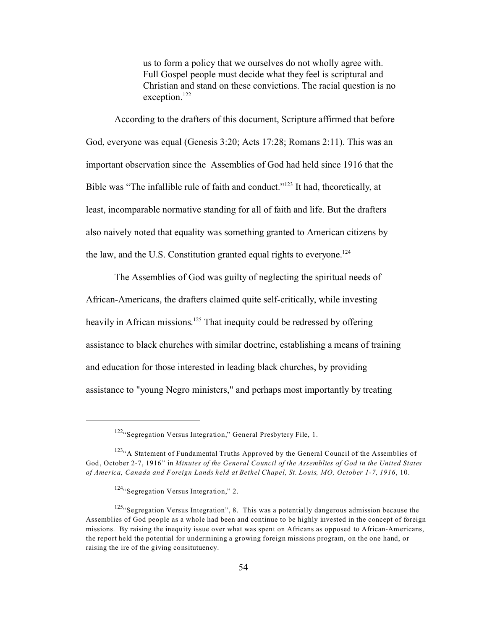us to form a policy that we ourselves do not wholly agree with. Full Gospel people must decide what they feel is scriptural and Christian and stand on these convictions. The racial question is no exception.<sup>122</sup>

 According to the drafters of this document, Scripture affirmed that before God, everyone was equal (Genesis 3:20; Acts 17:28; Romans 2:11). This was an important observation since the Assemblies of God had held since 1916 that the Bible was "The infallible rule of faith and conduct."<sup>123</sup> It had, theoretically, at least, incomparable normative standing for all of faith and life. But the drafters also naively noted that equality was something granted to American citizens by the law, and the U.S. Constitution granted equal rights to everyone.<sup>124</sup>

The Assemblies of God was guilty of neglecting the spiritual needs of African-Americans, the drafters claimed quite self-critically, while investing heavily in African missions.<sup>125</sup> That inequity could be redressed by offering assistance to black churches with similar doctrine, establishing a means of training and education for those interested in leading black churches, by providing assistance to "young Negro ministers," and perhaps most importantly by treating

<sup>122.</sup> Segregation Versus Integration," General Presbytery File, 1.

<sup>&</sup>lt;sup>123</sup>"A Statement of Fundamental Truths Approved by the General Council of the Assemblies of God, October 2-7, 1916" in *Minutes of the General Council of the Assemblies of God in the United States of America, Canada and Foreign Lands held at Bethel Chapel, St. Louis, MO, October 1-7, 1916*, 10.

 $124$ "Segregation Versus Integration," 2.

<sup>&</sup>lt;sup>125</sup>"Segregation Versus Integration", 8. This was a potentially dangerous admission because the Assemblies of God people as a whole had been and continue to be highly invested in the concept of foreign missions. By raising the inequity issue over what was spent on Africans as opposed to African-Americans, the report held the potential for undermining a growing foreign missions program, on the one hand, or raising the ire of the giving consitutuency.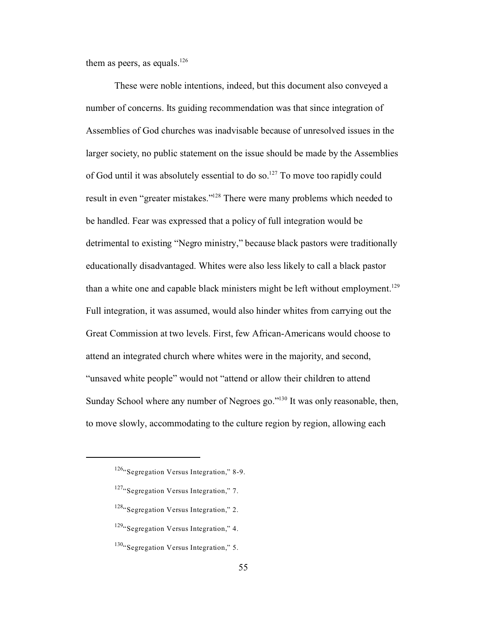them as peers, as equals.<sup>126</sup>

These were noble intentions, indeed, but this document also conveyed a number of concerns. Its guiding recommendation was that since integration of Assemblies of God churches was inadvisable because of unresolved issues in the larger society, no public statement on the issue should be made by the Assemblies of God until it was absolutely essential to do so.<sup>127</sup> To move too rapidly could result in even "greater mistakes."<sup>128</sup> There were many problems which needed to be handled. Fear was expressed that a policy of full integration would be detrimental to existing "Negro ministry," because black pastors were traditionally educationally disadvantaged. Whites were also less likely to call a black pastor than a white one and capable black ministers might be left without employment.<sup>129</sup> Full integration, it was assumed, would also hinder whites from carrying out the Great Commission at two levels. First, few African-Americans would choose to attend an integrated church where whites were in the majority, and second, "unsaved white people" would not "attend or allow their children to attend Sunday School where any number of Negroes go."<sup>130</sup> It was only reasonable, then, to move slowly, accommodating to the culture region by region, allowing each

 $126$ "Segregation Versus Integration," 8-9.

<sup>127.</sup> Segregation Versus Integration," 7.

<sup>&</sup>lt;sup>128</sup>"Segregation Versus Integration," 2.

 $129$ "Segregation Versus Integration," 4.

 $130$ . Segregation Versus Integration," 5.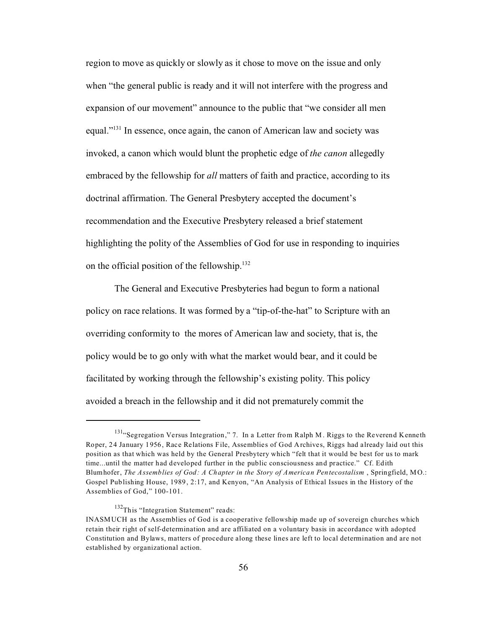region to move as quickly or slowly as it chose to move on the issue and only when "the general public is ready and it will not interfere with the progress and expansion of our movement" announce to the public that "we consider all men equal."<sup>131</sup> In essence, once again, the canon of American law and society was invoked, a canon which would blunt the prophetic edge of *the canon* allegedly embraced by the fellowship for *all* matters of faith and practice, according to its doctrinal affirmation. The General Presbytery accepted the document's recommendation and the Executive Presbytery released a brief statement highlighting the polity of the Assemblies of God for use in responding to inquiries on the official position of the fellowship.<sup>132</sup>

The General and Executive Presbyteries had begun to form a national policy on race relations. It was formed by a "tip-of-the-hat" to Scripture with an overriding conformity to the mores of American law and society, that is, the policy would be to go only with what the market would bear, and it could be facilitated by working through the fellowship's existing polity. This policy avoided a breach in the fellowship and it did not prematurely commit the

<sup>&</sup>lt;sup>131</sup> "Segregation Versus Integration," 7. In a Letter from Ralph M. Riggs to the Reverend Kenneth Roper, 24 January 1956, Race Relations File, Assemblies of God Archives, Riggs had already laid out this position as that which was held by the General Presbytery which "felt that it would be best for us to mark time...until the matter had developed further in the public consciousness and practice." Cf. Edith Blumhofer, *The Assemblies of God: A Chapter in the Story of American Pentecostalism* , Springfield, MO.: Gospel Publishing House, 1989, 2:17, and Kenyon, "An Analysis of Ethical Issues in the History of the Assemblies of God," 100-101.

<sup>&</sup>lt;sup>132</sup>This "Integration Statement" reads:

INASMUCH as the Assemblies of God is a cooperative fellowship made up of sovereign churches which retain their right of self-determination and are affiliated on a voluntary basis in accordance with adopted Constitution and Bylaws, matters of procedure along these lines are left to local determination and are not established by organizational action.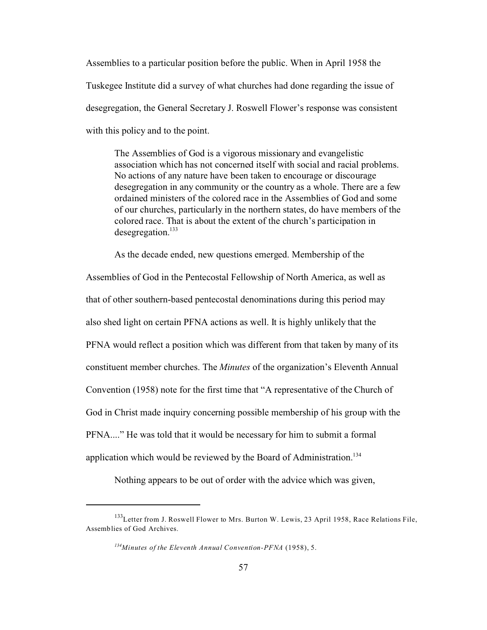Assemblies to a particular position before the public. When in April 1958 the Tuskegee Institute did a survey of what churches had done regarding the issue of desegregation, the General Secretary J. Roswell Flower's response was consistent with this policy and to the point.

The Assemblies of God is a vigorous missionary and evangelistic association which has not concerned itself with social and racial problems. No actions of any nature have been taken to encourage or discourage desegregation in any community or the country as a whole. There are a few ordained ministers of the colored race in the Assemblies of God and some of our churches, particularly in the northern states, do have members of the colored race. That is about the extent of the church's participation in desegregation.<sup>133</sup>

As the decade ended, new questions emerged. Membership of the

Assemblies of God in the Pentecostal Fellowship of North America, as well as that of other southern-based pentecostal denominations during this period may also shed light on certain PFNA actions as well. It is highly unlikely that the PFNA would reflect a position which was different from that taken by many of its constituent member churches. The *Minutes* of the organization's Eleventh Annual Convention (1958) note for the first time that "A representative of the Church of God in Christ made inquiry concerning possible membership of his group with the PFNA...." He was told that it would be necessary for him to submit a formal application which would be reviewed by the Board of Administration.<sup>134</sup>

Nothing appears to be out of order with the advice which was given,

<sup>&</sup>lt;sup>133</sup>Letter from J. Roswell Flower to Mrs. Burton W. Lewis, 23 April 1958, Race Relations File, Assemblies of God Archives.

*<sup>134</sup>Minutes of the Eleventh Annual Convention-PFNA* (1958), 5.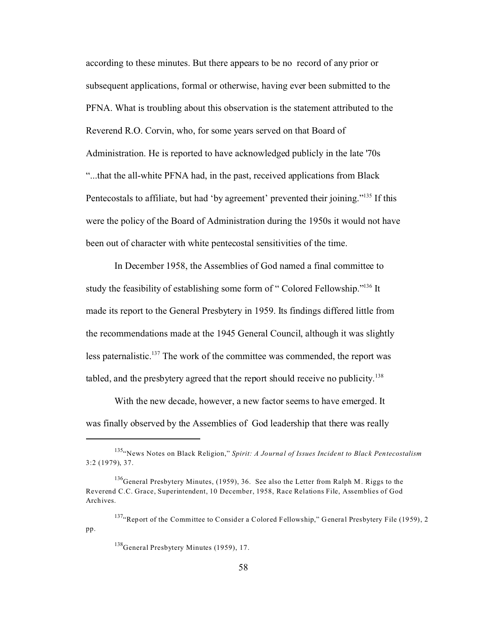according to these minutes. But there appears to be no record of any prior or subsequent applications, formal or otherwise, having ever been submitted to the PFNA. What is troubling about this observation is the statement attributed to the Reverend R.O. Corvin, who, for some years served on that Board of Administration. He is reported to have acknowledged publicly in the late '70s "...that the all-white PFNA had, in the past, received applications from Black Pentecostals to affiliate, but had 'by agreement' prevented their joining."<sup>135</sup> If this were the policy of the Board of Administration during the 1950s it would not have been out of character with white pentecostal sensitivities of the time.

In December 1958, the Assemblies of God named a final committee to study the feasibility of establishing some form of "Colored Fellowship."<sup>136</sup> It made its report to the General Presbytery in 1959. Its findings differed little from the recommendations made at the 1945 General Council, although it was slightly less paternalistic.<sup>137</sup> The work of the committee was commended, the report was tabled, and the presbytery agreed that the report should receive no publicity.<sup>138</sup>

With the new decade, however, a new factor seems to have emerged. It was finally observed by the Assemblies of God leadership that there was really

<sup>135</sup>"News Notes on Black Religion," *Spirit: A Journal of Issues Incident to Black Pentecostalism* 3:2 (1979), 37.

<sup>&</sup>lt;sup>136</sup>General Presbytery Minutes, (1959), 36. See also the Letter from Ralph M. Riggs to the Reverend C.C. Grace, Superintendent, 10 December, 1958, Race Relations File, Assemblies of God Archives.

<sup>&</sup>lt;sup>137</sup>"Report of the Committee to Consider a Colored Fellowship," General Presbytery File (1959), 2 pp.

<sup>&</sup>lt;sup>138</sup>General Presbytery Minutes (1959), 17.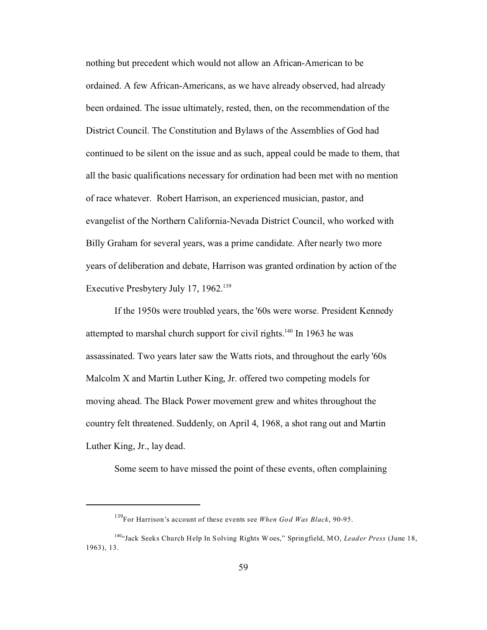nothing but precedent which would not allow an African-American to be ordained. A few African-Americans, as we have already observed, had already been ordained. The issue ultimately, rested, then, on the recommendation of the District Council. The Constitution and Bylaws of the Assemblies of God had continued to be silent on the issue and as such, appeal could be made to them, that all the basic qualifications necessary for ordination had been met with no mention of race whatever. Robert Harrison, an experienced musician, pastor, and evangelist of the Northern California-Nevada District Council, who worked with Billy Graham for several years, was a prime candidate. After nearly two more years of deliberation and debate, Harrison was granted ordination by action of the Executive Presbytery July 17, 1962.<sup>139</sup>

If the 1950s were troubled years, the '60s were worse. President Kennedy attempted to marshal church support for civil rights.<sup>140</sup> In 1963 he was assassinated. Two years later saw the Watts riots, and throughout the early '60s Malcolm X and Martin Luther King, Jr. offered two competing models for moving ahead. The Black Power movement grew and whites throughout the country felt threatened. Suddenly, on April 4, 1968, a shot rang out and Martin Luther King, Jr., lay dead.

Some seem to have missed the point of these events, often complaining

<sup>139</sup>For Harrison's account of these events see *When God Was Black*, 90-95.

<sup>140</sup>"Jack Seeks Church Help In Solving Rights W oes," Springfield, MO, *Leader Press* (June 18, 1963), 13.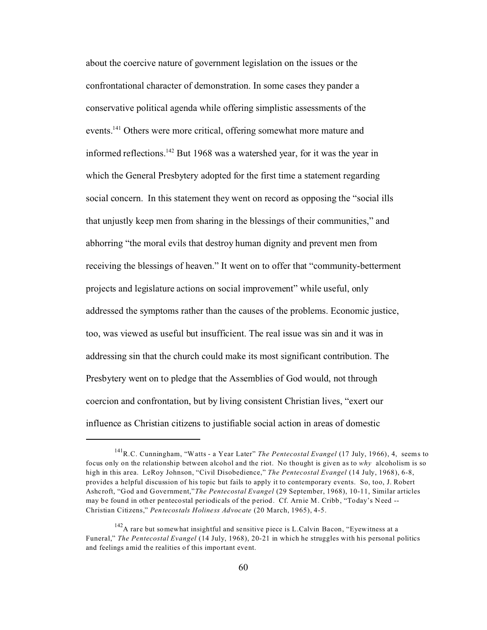about the coercive nature of government legislation on the issues or the confrontational character of demonstration. In some cases they pander a conservative political agenda while offering simplistic assessments of the events.<sup>141</sup> Others were more critical, offering somewhat more mature and informed reflections.<sup>142</sup> But 1968 was a watershed year, for it was the year in which the General Presbytery adopted for the first time a statement regarding social concern. In this statement they went on record as opposing the "social ills that unjustly keep men from sharing in the blessings of their communities," and abhorring "the moral evils that destroy human dignity and prevent men from receiving the blessings of heaven." It went on to offer that "community-betterment projects and legislature actions on social improvement" while useful, only addressed the symptoms rather than the causes of the problems. Economic justice, too, was viewed as useful but insufficient. The real issue was sin and it was in addressing sin that the church could make its most significant contribution. The Presbytery went on to pledge that the Assemblies of God would, not through coercion and confrontation, but by living consistent Christian lives, "exert our influence as Christian citizens to justifiable social action in areas of domestic

<sup>141</sup>R.C. Cunningham, "Watts - a Year Later" *The Pentecostal Evangel* (17 July, 1966), 4, seems to focus only on the relationship between alcohol and the riot. No thought is given as to *why* alcoholism is so high in this area. LeRoy Johnson, "Civil Disobedience," *The Pentecostal Evangel* (14 July, 1968), 6-8, provides a helpful discussion of his topic but fails to apply it to contemporary events. So, too, J. Robert Ashcroft, "God and Government,"*The Pentecostal Evangel* (29 September, 1968), 10-11, Similar articles may be found in other pentecostal periodicals of the period. Cf. Arnie M. Cribb, "Today's Need -- Christian Citizens," *Pentecostals Holiness Advocate* (20 March, 1965), 4-5.

 $142A$  rare but somewhat insightful and sensitive piece is L.Calvin Bacon, "Eyewitness at a Funeral," *The Pentecostal Evangel* (14 July, 1968), 20-21 in which he struggles with his personal politics and feelings amid the realities of this important event.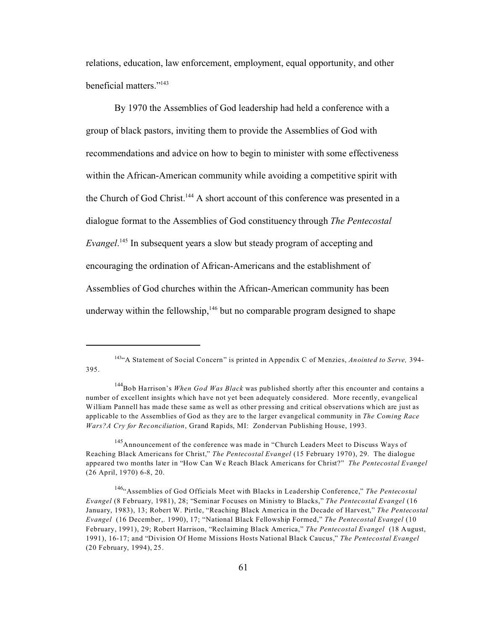relations, education, law enforcement, employment, equal opportunity, and other beneficial matters."<sup>143</sup>

By 1970 the Assemblies of God leadership had held a conference with a group of black pastors, inviting them to provide the Assemblies of God with recommendations and advice on how to begin to minister with some effectiveness within the African-American community while avoiding a competitive spirit with the Church of God Christ.<sup>144</sup> A short account of this conference was presented in a dialogue format to the Assemblies of God constituency through *The Pentecostal Evangel*. <sup>145</sup> In subsequent years a slow but steady program of accepting and encouraging the ordination of African-Americans and the establishment of Assemblies of God churches within the African-American community has been underway within the fellowship,  $146$  but no comparable program designed to shape

<sup>143</sup>"A Statement of Social Concern" is printed in Appendix C of Menzies, *Anointed to Serve,* 394- 395.

<sup>144</sup>Bob Harrison's *When God Was Black* was published shortly after this encounter and contains a number of excellent insights which have not yet been adequately considered. More recently, evangelical William Pannell has made these same as well as other pressing and critical observations which are just as applicable to the Assemblies of God as they are to the larger evangelical community in *The Coming Race Wars?A Cry for Reconciliation*, Grand Rapids, MI: Zondervan Publishing House, 1993.

<sup>&</sup>lt;sup>145</sup>Announcement of the conference was made in "Church Leaders Meet to Discuss Ways of Reaching Black Americans for Christ," *The Pentecostal Evangel* (15 February 1970), 29. The dialogue appeared two months later in "How Can We Reach Black Americans for Christ?" *The Pentecostal Evangel* (26 April, 1970) 6-8, 20.

<sup>146</sup>"Assemblies of God Officials Meet with Blacks in Leadership Conference," *The Pentecostal Evangel* (8 February, 1981), 28; "Seminar Focuses on Ministry to Blacks," *The Pentecostal Evangel* (16 January, 1983), 13; Robert W. Pirtle, "Reaching Black America in the Decade of Harvest," *The Pentecostal Evangel* (16 December,. 1990), 17; "National Black Fellowship Formed," *The Pentecostal Evangel* (10 February, 1991), 29; Robert Harrison, "Reclaiming Black America," *The Pentecostal Evangel* (18 August, 1991), 16-17; and "Division Of Home Missions Hosts National Black Caucus," *The Pentecostal Evangel* (20 February, 1994), 25.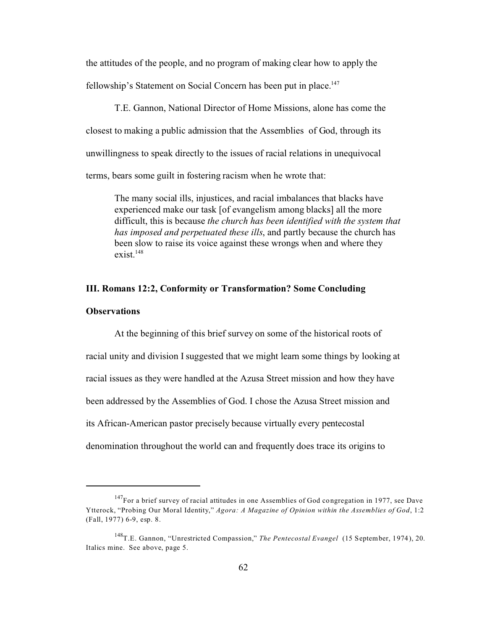the attitudes of the people, and no program of making clear how to apply the fellowship's Statement on Social Concern has been put in place.<sup>147</sup>

T.E. Gannon, National Director of Home Missions, alone has come the closest to making a public admission that the Assemblies of God, through its unwillingness to speak directly to the issues of racial relations in unequivocal terms, bears some guilt in fostering racism when he wrote that:

The many social ills, injustices, and racial imbalances that blacks have experienced make our task [of evangelism among blacks] all the more difficult, this is because *the church has been identified with the system that has imposed and perpetuated these ills*, and partly because the church has been slow to raise its voice against these wrongs when and where they  $exist.$ <sup>148</sup>

# **III. Romans 12:2, Conformity or Transformation? Some Concluding**

#### **Observations**

At the beginning of this brief survey on some of the historical roots of racial unity and division I suggested that we might learn some things by looking at racial issues as they were handled at the Azusa Street mission and how they have been addressed by the Assemblies of God. I chose the Azusa Street mission and its African-American pastor precisely because virtually every pentecostal denomination throughout the world can and frequently does trace its origins to

 $147$ For a brief survey of racial attitudes in one Assemblies of God congregation in 1977, see Dave Ytterock, "Probing Our Moral Identity," *Agora: A Magazine of Opinion within the Assemblies of God*, 1:2 (Fall, 1977) 6-9, esp. 8.

<sup>148</sup>T.E. Gannon, "Unrestricted Compassion," *The Pentecostal Evangel* (15 September, 1974), 20. Italics mine. See above, page 5.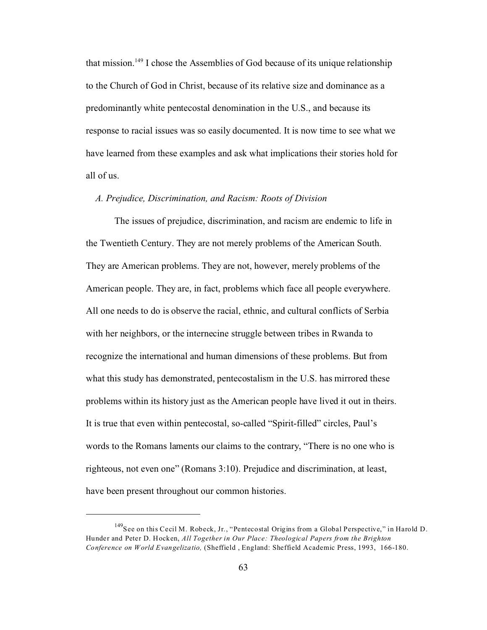that mission.<sup>149</sup> I chose the Assemblies of God because of its unique relationship to the Church of God in Christ, because of its relative size and dominance as a predominantly white pentecostal denomination in the U.S., and because its response to racial issues was so easily documented. It is now time to see what we have learned from these examples and ask what implications their stories hold for all of us.

## *A. Prejudice, Discrimination, and Racism: Roots of Division*

The issues of prejudice, discrimination, and racism are endemic to life in the Twentieth Century. They are not merely problems of the American South. They are American problems. They are not, however, merely problems of the American people. They are, in fact, problems which face all people everywhere. All one needs to do is observe the racial, ethnic, and cultural conflicts of Serbia with her neighbors, or the internecine struggle between tribes in Rwanda to recognize the international and human dimensions of these problems. But from what this study has demonstrated, pentecostalism in the U.S. has mirrored these problems within its history just as the American people have lived it out in theirs. It is true that even within pentecostal, so-called "Spirit-filled" circles, Paul's words to the Romans laments our claims to the contrary, "There is no one who is righteous, not even one" (Romans 3:10). Prejudice and discrimination, at least, have been present throughout our common histories.

<sup>&</sup>lt;sup>149</sup>See on this Cecil M. Robeck, Jr., "Pentecostal Origins from a Global Perspective," in Harold D. Hunder and Peter D. Hocken, *All Together in Our Place: Theological Papers from the Brighton Conference on World Evangelizatio,* (Sheffield , England: Sheffield Academic Press, 1993, 166-180.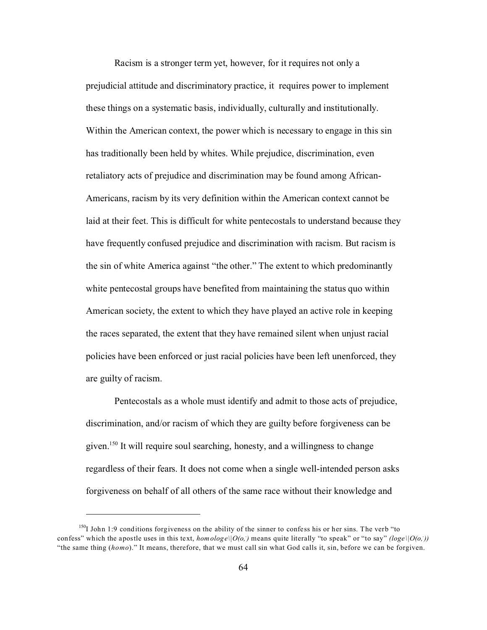Racism is a stronger term yet, however, for it requires not only a prejudicial attitude and discriminatory practice, it requires power to implement these things on a systematic basis, individually, culturally and institutionally. Within the American context, the power which is necessary to engage in this sin has traditionally been held by whites. While prejudice, discrimination, even retaliatory acts of prejudice and discrimination may be found among African-Americans, racism by its very definition within the American context cannot be laid at their feet. This is difficult for white pentecostals to understand because they have frequently confused prejudice and discrimination with racism. But racism is the sin of white America against "the other." The extent to which predominantly white pentecostal groups have benefited from maintaining the status quo within American society, the extent to which they have played an active role in keeping the races separated, the extent that they have remained silent when unjust racial policies have been enforced or just racial policies have been left unenforced, they are guilty of racism.

Pentecostals as a whole must identify and admit to those acts of prejudice, discrimination, and/or racism of which they are guilty before forgiveness can be given.<sup>150</sup> It will require soul searching, honesty, and a willingness to change regardless of their fears. It does not come when a single well-intended person asks forgiveness on behalf of all others of the same race without their knowledge and

<sup>&</sup>lt;sup>150</sup>I John 1:9 conditions forgiveness on the ability of the sinner to confess his or her sins. The verb "to confess" which the apostle uses in this text,  $homologe\|O(o,.)$  means quite literally "to speak" or "to say" *(loge*\| $O(o,.)$ ) "the same thing (*homo*)." It means, therefore, that we must call sin what God calls it, sin, before we can be forgiven.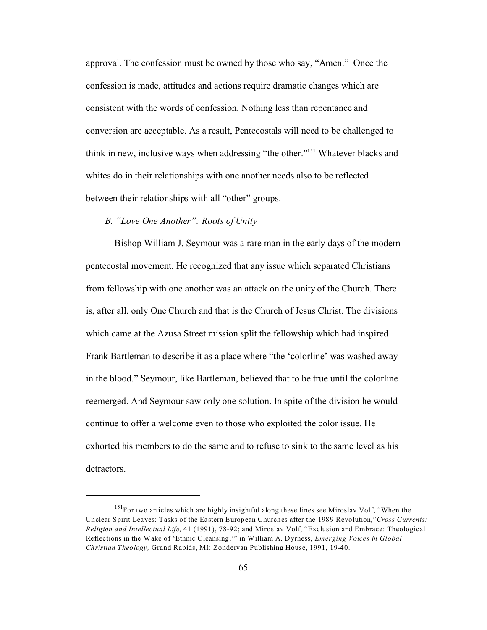approval. The confession must be owned by those who say, "Amen." Once the confession is made, attitudes and actions require dramatic changes which are consistent with the words of confession. Nothing less than repentance and conversion are acceptable. As a result, Pentecostals will need to be challenged to think in new, inclusive ways when addressing "the other."<sup>151</sup> Whatever blacks and whites do in their relationships with one another needs also to be reflected between their relationships with all "other" groups.

## *B. "Love One Another": Roots of Unity*

Bishop William J. Seymour was a rare man in the early days of the modern pentecostal movement. He recognized that any issue which separated Christians from fellowship with one another was an attack on the unity of the Church. There is, after all, only One Church and that is the Church of Jesus Christ. The divisions which came at the Azusa Street mission split the fellowship which had inspired Frank Bartleman to describe it as a place where "the 'colorline' was washed away in the blood." Seymour, like Bartleman, believed that to be true until the colorline reemerged. And Seymour saw only one solution. In spite of the division he would continue to offer a welcome even to those who exploited the color issue. He exhorted his members to do the same and to refuse to sink to the same level as his detractors.

<sup>&</sup>lt;sup>151</sup>For two articles which are highly insightful along these lines see Miroslav Volf, "When the Unclear Spirit Leaves: Tasks of the Eastern European Churches after the 1989 Revolution,"*Cross Currents: Religion and Intellectual Life,* 41 (1991), 78-92; and Miroslav Volf, "Exclusion and Embrace: Theological Reflections in the Wake of 'Ethnic Cleansing,'" in William A. Dyrness, *Emerging Voices in Global Christian Theology,* Grand Rapids, MI: Zondervan Publishing House, 1991, 19-40.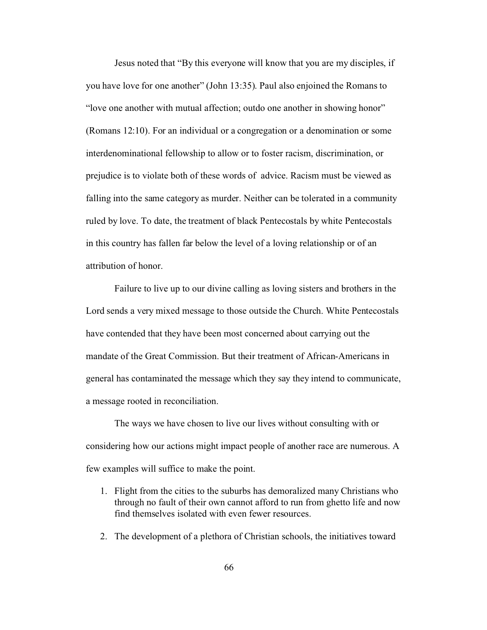Jesus noted that "By this everyone will know that you are my disciples, if you have love for one another" (John 13:35). Paul also enjoined the Romans to "love one another with mutual affection; outdo one another in showing honor" (Romans 12:10). For an individual or a congregation or a denomination or some interdenominational fellowship to allow or to foster racism, discrimination, or prejudice is to violate both of these words of advice. Racism must be viewed as falling into the same category as murder. Neither can be tolerated in a community ruled by love. To date, the treatment of black Pentecostals by white Pentecostals in this country has fallen far below the level of a loving relationship or of an attribution of honor.

Failure to live up to our divine calling as loving sisters and brothers in the Lord sends a very mixed message to those outside the Church. White Pentecostals have contended that they have been most concerned about carrying out the mandate of the Great Commission. But their treatment of African-Americans in general has contaminated the message which they say they intend to communicate, a message rooted in reconciliation.

The ways we have chosen to live our lives without consulting with or considering how our actions might impact people of another race are numerous. A few examples will suffice to make the point.

- 1. Flight from the cities to the suburbs has demoralized many Christians who through no fault of their own cannot afford to run from ghetto life and now find themselves isolated with even fewer resources.
- 2. The development of a plethora of Christian schools, the initiatives toward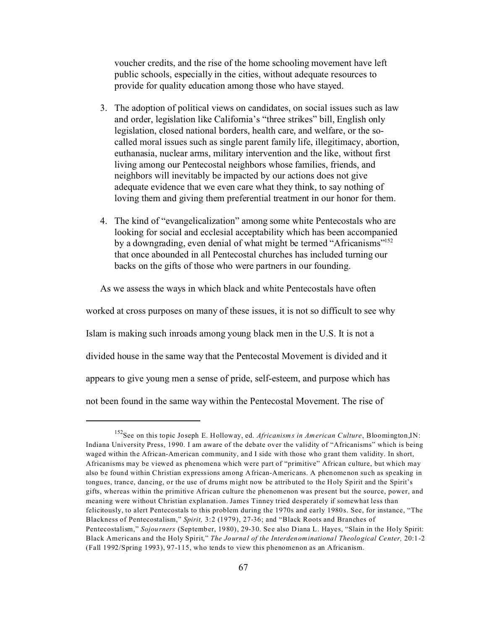voucher credits, and the rise of the home schooling movement have left public schools, especially in the cities, without adequate resources to provide for quality education among those who have stayed.

- 3. The adoption of political views on candidates, on social issues such as law and order, legislation like California's "three strikes" bill, English only legislation, closed national borders, health care, and welfare, or the socalled moral issues such as single parent family life, illegitimacy, abortion, euthanasia, nuclear arms, military intervention and the like, without first living among our Pentecostal neighbors whose families, friends, and neighbors will inevitably be impacted by our actions does not give adequate evidence that we even care what they think, to say nothing of loving them and giving them preferential treatment in our honor for them.
- 4. The kind of "evangelicalization" among some white Pentecostals who are looking for social and ecclesial acceptability which has been accompanied by a downgrading, even denial of what might be termed "Africanisms"<sup>152</sup> that once abounded in all Pentecostal churches has included turning our backs on the gifts of those who were partners in our founding.

As we assess the ways in which black and white Pentecostals have often

worked at cross purposes on many of these issues, it is not so difficult to see why

Islam is making such inroads among young black men in the U.S. It is not a

divided house in the same way that the Pentecostal Movement is divided and it

appears to give young men a sense of pride, self-esteem, and purpose which has

not been found in the same way within the Pentecostal Movement. The rise of

<sup>152</sup>See on this topic Joseph E. Holloway, ed. *Africanisms in American Culture*, Bloomington,IN: Indiana University Press, 1990. I am aware of the debate over the validity of "Africanisms" which is being waged within the African-American community, and I side with those who grant them validity. In short, Africanisms may be viewed as phenomena which were part of "primitive" African culture, but which may also be found within Christian expressions among African-Americans. A phenomenon such as speaking in tongues, trance, dancing, or the use of drums might now be attributed to the Holy Spirit and the Spirit's gifts, whereas within the primitive African culture the phenomenon was present but the source, power, and meaning were without Christian explanation. James Tinney tried desperately if somewhat less than felicitously, to alert Pentecostals to this problem during the 1970s and early 1980s. See, for instance, "The Blackness of Pentecostalism," *Spirit,* 3:2 (1979), 27-36; and "Black Roots and Branches of Pentecostalism," *Sojourners* (September, 1980), 29-30. See also Diana L. Hayes, "Slain in the Holy Spirit: Black Americans and the Holy Spirit," *The Journal of the Interdenominational Theological Center,* 20:1-2 (Fall 1992/Spring 1993), 97-115, who tends to view this phenomenon as an Africanism.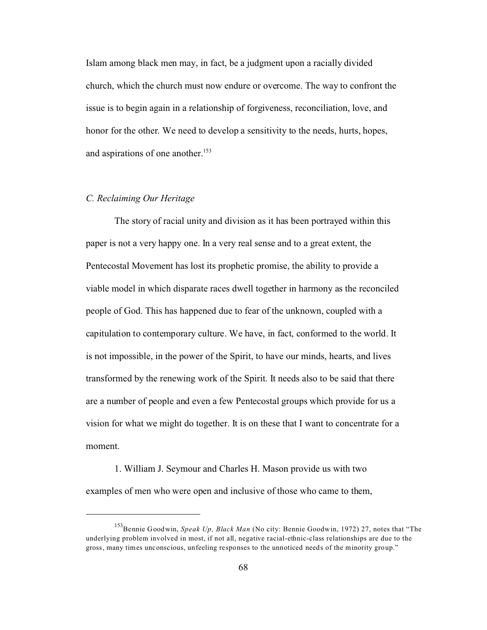Islam among black men may, in fact, be a judgment upon a racially divided church, which the church must now endure or overcome. The way to confront the issue is to begin again in a relationship of forgiveness, reconciliation, love, and honor for the other. We need to develop a sensitivity to the needs, hurts, hopes, and aspirations of one another.<sup>153</sup>

# *C. Reclaiming Our Heritage*

The story of racial unity and division as it has been portrayed within this paper is not a very happy one. In a very real sense and to a great extent, the Pentecostal Movement has lost its prophetic promise, the ability to provide a viable model in which disparate races dwell together in harmony as the reconciled people of God. This has happened due to fear of the unknown, coupled with a capitulation to contemporary culture. We have, in fact, conformed to the world. It is not impossible, in the power of the Spirit, to have our minds, hearts, and lives transformed by the renewing work of the Spirit. It needs also to be said that there are a number of people and even a few Pentecostal groups which provide for us a vision for what we might do together. It is on these that I want to concentrate for a moment.

1. William J. Seymour and Charles H. Mason provide us with two examples of men who were open and inclusive of those who came to them,

<sup>153</sup>Bennie Goodwin, *Speak Up, Black Man* (No city: Bennie Goodwin, 1972) 27, notes that "The underlying problem involved in most, if not all, negative racial-ethnic-class relationships are due to the gross, many times unconscious, unfeeling responses to the unnoticed needs of the minority group."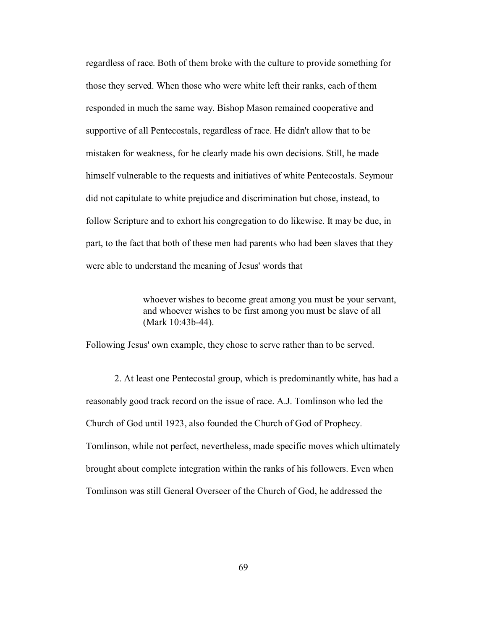regardless of race. Both of them broke with the culture to provide something for those they served. When those who were white left their ranks, each of them responded in much the same way. Bishop Mason remained cooperative and supportive of all Pentecostals, regardless of race. He didn't allow that to be mistaken for weakness, for he clearly made his own decisions. Still, he made himself vulnerable to the requests and initiatives of white Pentecostals. Seymour did not capitulate to white prejudice and discrimination but chose, instead, to follow Scripture and to exhort his congregation to do likewise. It may be due, in part, to the fact that both of these men had parents who had been slaves that they were able to understand the meaning of Jesus' words that

> whoever wishes to become great among you must be your servant, and whoever wishes to be first among you must be slave of all (Mark 10:43b-44).

Following Jesus' own example, they chose to serve rather than to be served.

2. At least one Pentecostal group, which is predominantly white, has had a reasonably good track record on the issue of race. A.J. Tomlinson who led the Church of God until 1923, also founded the Church of God of Prophecy. Tomlinson, while not perfect, nevertheless, made specific moves which ultimately brought about complete integration within the ranks of his followers. Even when Tomlinson was still General Overseer of the Church of God, he addressed the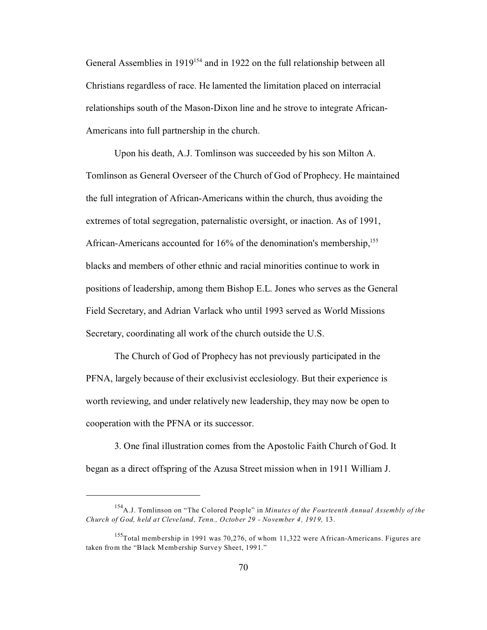General Assemblies in 1919<sup>154</sup> and in 1922 on the full relationship between all Christians regardless of race. He lamented the limitation placed on interracial relationships south of the Mason-Dixon line and he strove to integrate African-Americans into full partnership in the church.

Upon his death, A.J. Tomlinson was succeeded by his son Milton A. Tomlinson as General Overseer of the Church of God of Prophecy. He maintained the full integration of African-Americans within the church, thus avoiding the extremes of total segregation, paternalistic oversight, or inaction. As of 1991, African-Americans accounted for  $16\%$  of the denomination's membership,<sup>155</sup> blacks and members of other ethnic and racial minorities continue to work in positions of leadership, among them Bishop E.L. Jones who serves as the General Field Secretary, and Adrian Varlack who until 1993 served as World Missions Secretary, coordinating all work of the church outside the U.S.

The Church of God of Prophecy has not previously participated in the PFNA, largely because of their exclusivist ecclesiology. But their experience is worth reviewing, and under relatively new leadership, they may now be open to cooperation with the PFNA or its successor.

3. One final illustration comes from the Apostolic Faith Church of God. It began as a direct offspring of the Azusa Street mission when in 1911 William J.

<sup>154</sup>A.J. Tomlinson on "The Colored People" in *Minutes of the Fourteenth Annual Assembly of the Church of God, held at Cleveland, Tenn., October 29 - November 4, 1919,* 13.

<sup>155</sup>Total membership in 1991 was 70,276, of whom 11,322 were African-Americans. Figures are taken from the "Black Membership Survey Sheet, 1991."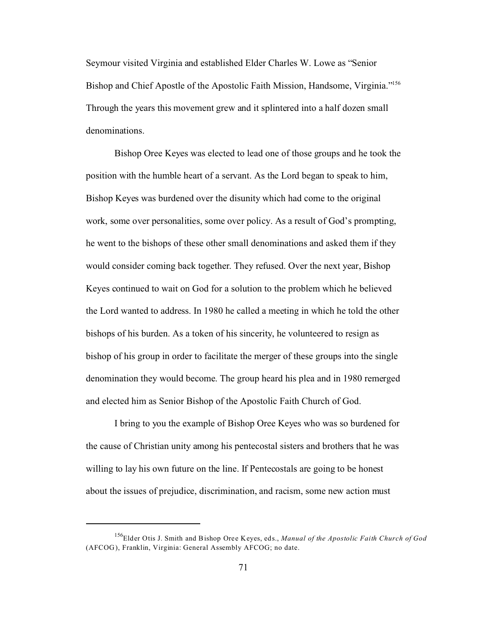Seymour visited Virginia and established Elder Charles W. Lowe as "Senior Bishop and Chief Apostle of the Apostolic Faith Mission, Handsome, Virginia."<sup>156</sup> Through the years this movement grew and it splintered into a half dozen small denominations.

Bishop Oree Keyes was elected to lead one of those groups and he took the position with the humble heart of a servant. As the Lord began to speak to him, Bishop Keyes was burdened over the disunity which had come to the original work, some over personalities, some over policy. As a result of God's prompting, he went to the bishops of these other small denominations and asked them if they would consider coming back together. They refused. Over the next year, Bishop Keyes continued to wait on God for a solution to the problem which he believed the Lord wanted to address. In 1980 he called a meeting in which he told the other bishops of his burden. As a token of his sincerity, he volunteered to resign as bishop of his group in order to facilitate the merger of these groups into the single denomination they would become. The group heard his plea and in 1980 remerged and elected him as Senior Bishop of the Apostolic Faith Church of God.

I bring to you the example of Bishop Oree Keyes who was so burdened for the cause of Christian unity among his pentecostal sisters and brothers that he was willing to lay his own future on the line. If Pentecostals are going to be honest about the issues of prejudice, discrimination, and racism, some new action must

<sup>156</sup>Elder Otis J. Smith and Bishop Oree Keyes, eds., *Manual of the Apostolic Faith Church of God* (AFCOG), Franklin, Virginia: General Assembly AFCOG; no date.